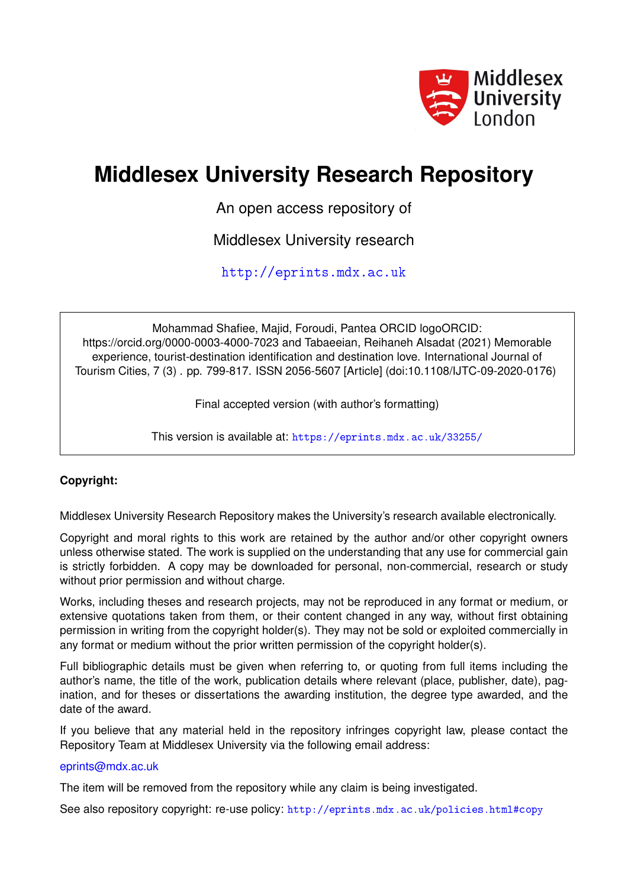

# **Middlesex University Research Repository**

An open access repository of

Middlesex University research

<http://eprints.mdx.ac.uk>

Mohammad Shafiee, Majid, Foroudi, Pantea ORCID logoORCID: https://orcid.org/0000-0003-4000-7023 and Tabaeeian, Reihaneh Alsadat (2021) Memorable experience, tourist-destination identification and destination love. International Journal of Tourism Cities, 7 (3) . pp. 799-817. ISSN 2056-5607 [Article] (doi:10.1108/IJTC-09-2020-0176)

Final accepted version (with author's formatting)

This version is available at: <https://eprints.mdx.ac.uk/33255/>

## **Copyright:**

Middlesex University Research Repository makes the University's research available electronically.

Copyright and moral rights to this work are retained by the author and/or other copyright owners unless otherwise stated. The work is supplied on the understanding that any use for commercial gain is strictly forbidden. A copy may be downloaded for personal, non-commercial, research or study without prior permission and without charge.

Works, including theses and research projects, may not be reproduced in any format or medium, or extensive quotations taken from them, or their content changed in any way, without first obtaining permission in writing from the copyright holder(s). They may not be sold or exploited commercially in any format or medium without the prior written permission of the copyright holder(s).

Full bibliographic details must be given when referring to, or quoting from full items including the author's name, the title of the work, publication details where relevant (place, publisher, date), pagination, and for theses or dissertations the awarding institution, the degree type awarded, and the date of the award.

If you believe that any material held in the repository infringes copyright law, please contact the Repository Team at Middlesex University via the following email address:

## [eprints@mdx.ac.uk](mailto:eprints@mdx.ac.uk)

The item will be removed from the repository while any claim is being investigated.

See also repository copyright: re-use policy: <http://eprints.mdx.ac.uk/policies.html#copy>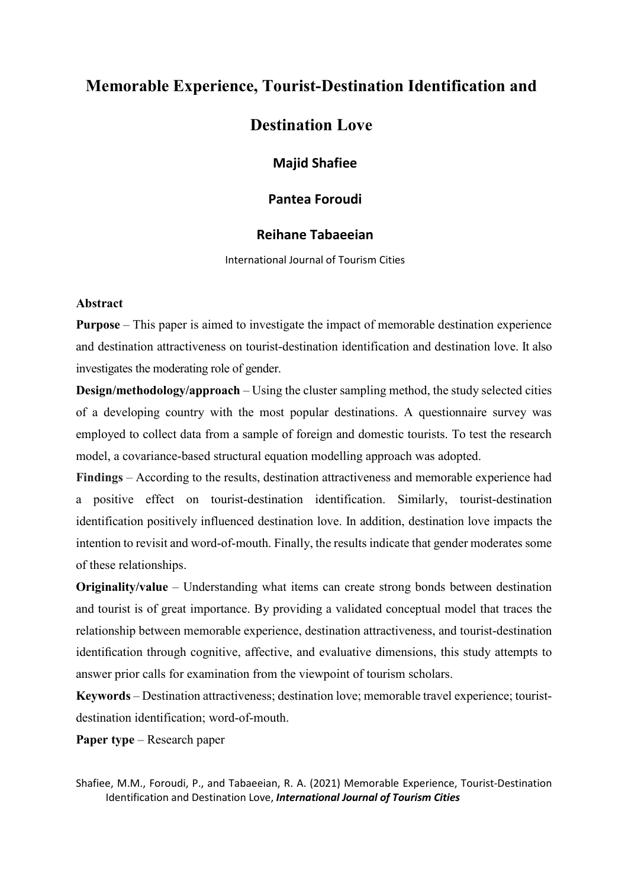# **Memorable Experience, Tourist-Destination Identification and**

# **Destination Love**

**Majid Shafiee** 

## **Pantea Foroudi**

## **Reihane Tabaeeian**

International Journal of Tourism Cities

#### **Abstract**

**Purpose** – This paper is aimed to investigate the impact of memorable destination experience and destination attractiveness on tourist-destination identification and destination love. It also investigates the moderating role of gender.

**Design/methodology/approach** – Using the cluster sampling method, the study selected cities of a developing country with the most popular destinations. A questionnaire survey was employed to collect data from a sample of foreign and domestic tourists. To test the research model, a covariance-based structural equation modelling approach was adopted.

**Findings** – According to the results, destination attractiveness and memorable experience had a positive effect on tourist-destination identification. Similarly, tourist-destination identification positively influenced destination love. In addition, destination love impacts the intention to revisit and word-of-mouth. Finally, the results indicate that gender moderates some of these relationships.

**Originality/value** – Understanding what items can create strong bonds between destination and tourist is of great importance. By providing a validated conceptual model that traces the relationship between memorable experience, destination attractiveness, and tourist-destination identification through cognitive, affective, and evaluative dimensions, this study attempts to answer prior calls for examination from the viewpoint of tourism scholars.

**Keywords** – Destination attractiveness; destination love; memorable travel experience; touristdestination identification; word-of-mouth.

**Paper type** – Research paper

Shafiee, M.M., Foroudi, P., and Tabaeeian, R. A. (2021) Memorable Experience, Tourist-Destination Identification and Destination Love, *International Journal of Tourism Cities*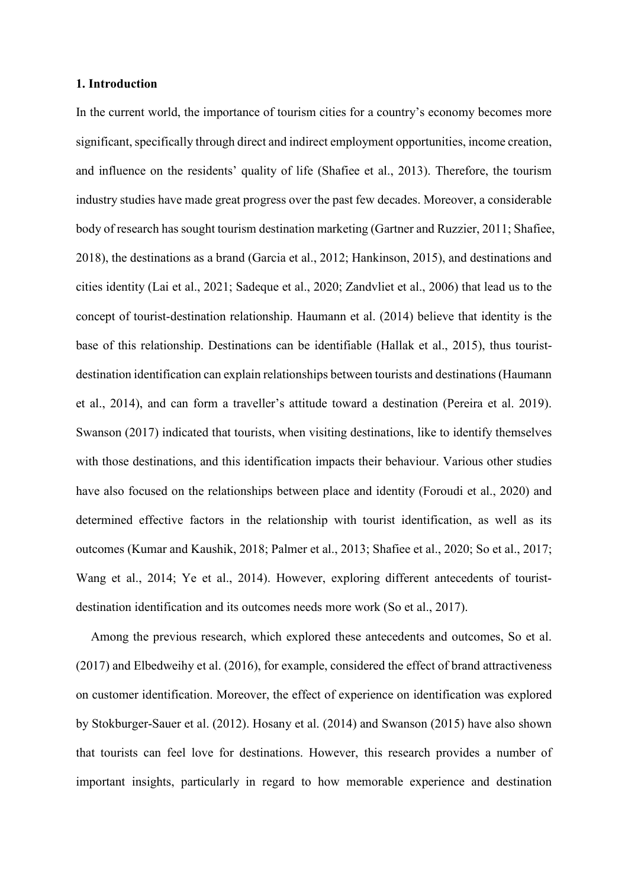#### **1. Introduction**

In the current world, the importance of tourism cities for a country's economy becomes more significant, specifically through direct and indirect employment opportunities, income creation, and influence on the residents' quality of life (Shafiee et al., 2013). Therefore, the tourism industry studies have made great progress over the past few decades. Moreover, a considerable body of research has sought tourism destination marketing (Gartner and Ruzzier, 2011; Shafiee, 2018), the destinations as a brand (Garcia et al., 2012; Hankinson, 2015), and destinations and cities identity (Lai et al., 2021; Sadeque et al., 2020; Zandvliet et al., 2006) that lead us to the concept of tourist-destination relationship. Haumann et al. (2014) believe that identity is the base of this relationship. Destinations can be identifiable (Hallak et al., 2015), thus touristdestination identification can explain relationships between tourists and destinations(Haumann et al., 2014), and can form a traveller's attitude toward a destination (Pereira et al. 2019). Swanson (2017) indicated that tourists, when visiting destinations, like to identify themselves with those destinations, and this identification impacts their behaviour. Various other studies have also focused on the relationships between place and identity (Foroudi et al., 2020) and determined effective factors in the relationship with tourist identification, as well as its outcomes (Kumar and Kaushik, 2018; Palmer et al., 2013; Shafiee et al., 2020; So et al., 2017; Wang et al., 2014; Ye et al., 2014). However, exploring different antecedents of touristdestination identification and its outcomes needs more work (So et al., 2017).

Among the previous research, which explored these antecedents and outcomes, So et al. (2017) and Elbedweihy et al. (2016), for example, considered the effect of brand attractiveness on customer identification. Moreover, the effect of experience on identification was explored by Stokburger-Sauer et al. (2012). Hosany et al. (2014) and Swanson (2015) have also shown that tourists can feel love for destinations. However, this research provides a number of important insights, particularly in regard to how memorable experience and destination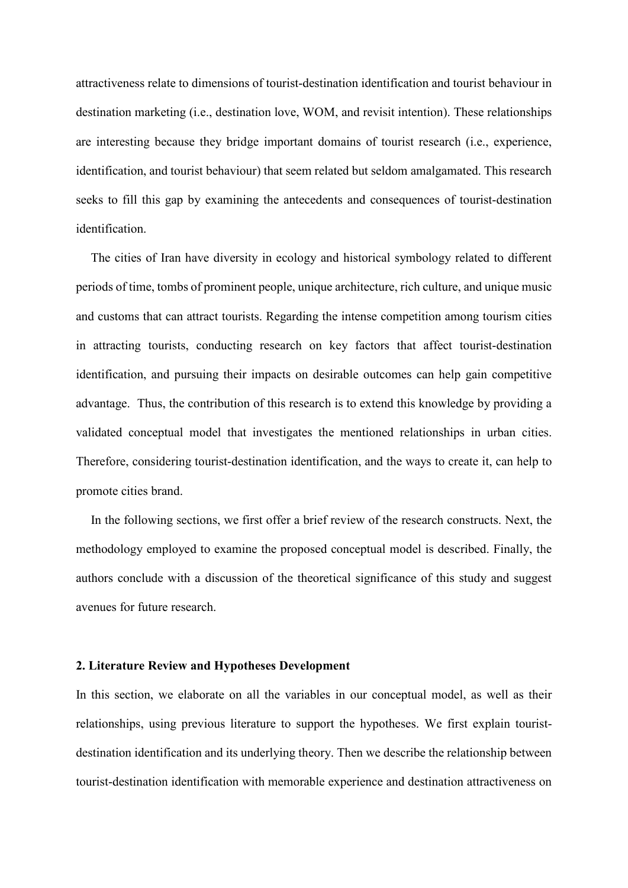attractiveness relate to dimensions of tourist-destination identification and tourist behaviour in destination marketing (i.e., destination love, WOM, and revisit intention). These relationships are interesting because they bridge important domains of tourist research (i.e., experience, identification, and tourist behaviour) that seem related but seldom amalgamated. This research seeks to fill this gap by examining the antecedents and consequences of tourist-destination identification.

The cities of Iran have diversity in ecology and historical symbology related to different periods of time, tombs of prominent people, unique architecture, rich culture, and unique music and customs that can attract tourists. Regarding the intense competition among tourism cities in attracting tourists, conducting research on key factors that affect tourist-destination identification, and pursuing their impacts on desirable outcomes can help gain competitive advantage. Thus, the contribution of this research is to extend this knowledge by providing a validated conceptual model that investigates the mentioned relationships in urban cities. Therefore, considering tourist-destination identification, and the ways to create it, can help to promote cities brand.

In the following sections, we first offer a brief review of the research constructs. Next, the methodology employed to examine the proposed conceptual model is described. Finally, the authors conclude with a discussion of the theoretical significance of this study and suggest avenues for future research.

#### **2. Literature Review and Hypotheses Development**

In this section, we elaborate on all the variables in our conceptual model, as well as their relationships, using previous literature to support the hypotheses. We first explain touristdestination identification and its underlying theory. Then we describe the relationship between tourist-destination identification with memorable experience and destination attractiveness on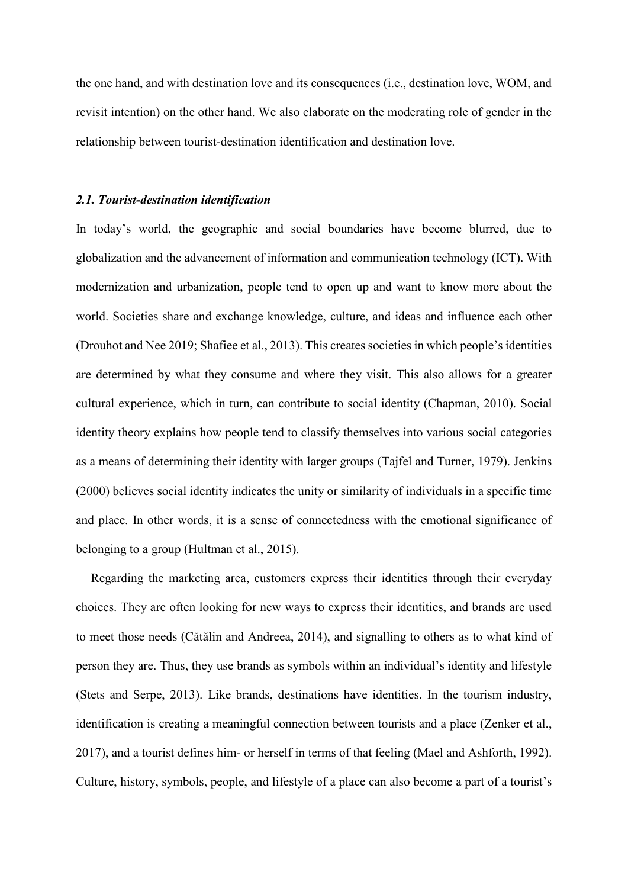the one hand, and with destination love and its consequences (i.e., destination love, WOM, and revisit intention) on the other hand. We also elaborate on the moderating role of gender in the relationship between tourist-destination identification and destination love.

#### *2.1. Tourist-destination identification*

In today's world, the geographic and social boundaries have become blurred, due to globalization and the advancement of information and communication technology (ICT). With modernization and urbanization, people tend to open up and want to know more about the world. Societies share and exchange knowledge, culture, and ideas and influence each other (Drouhot and Nee 2019; Shafiee et al., 2013). This creates societies in which people's identities are determined by what they consume and where they visit. This also allows for a greater cultural experience, which in turn, can contribute to social identity (Chapman, 2010). Social identity theory explains how people tend to classify themselves into various social categories as a means of determining their identity with larger groups (Tajfel and Turner, 1979). Jenkins (2000) believes social identity indicates the unity or similarity of individuals in a specific time and place. In other words, it is a sense of connectedness with the emotional significance of belonging to a group (Hultman et al., 2015).

Regarding the marketing area, customers express their identities through their everyday choices. They are often looking for new ways to express their identities, and brands are used to meet those needs (Cătălin and Andreea, 2014), and signalling to others as to what kind of person they are. Thus, they use brands as symbols within an individual's identity and lifestyle (Stets and Serpe, 2013). Like brands, destinations have identities. In the tourism industry, identification is creating a meaningful connection between tourists and a place (Zenker et al., 2017), and a tourist defines him- or herself in terms of that feeling (Mael and Ashforth, 1992). Culture, history, symbols, people, and lifestyle of a place can also become a part of a tourist's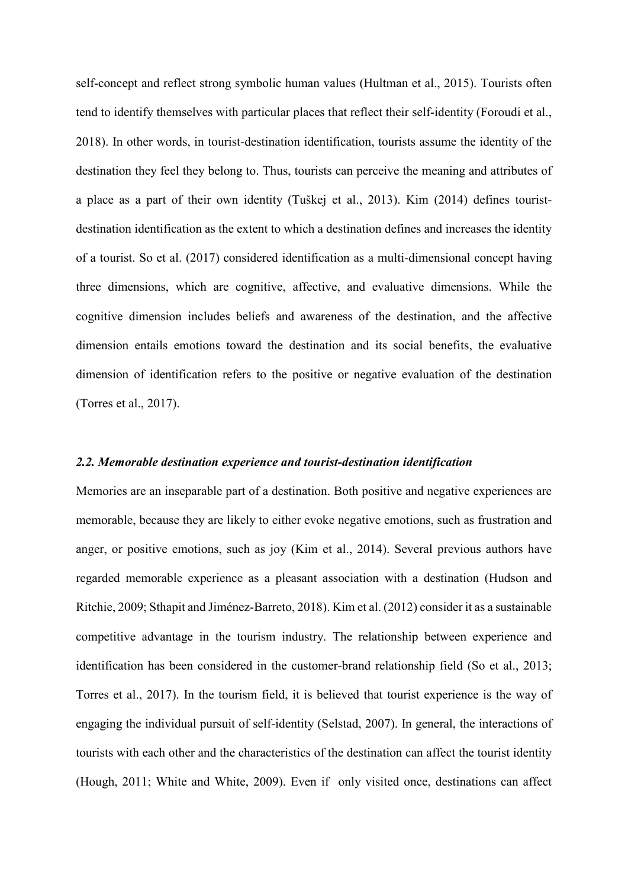self-concept and reflect strong symbolic human values (Hultman et al., 2015). Tourists often tend to identify themselves with particular places that reflect their self-identity (Foroudi et al., 2018). In other words, in tourist-destination identification, tourists assume the identity of the destination they feel they belong to. Thus, tourists can perceive the meaning and attributes of a place as a part of their own identity (Tuškej et al., 2013). Kim (2014) defines touristdestination identification as the extent to which a destination defines and increases the identity of a tourist. So et al. (2017) considered identification as a multi-dimensional concept having three dimensions, which are cognitive, affective, and evaluative dimensions. While the cognitive dimension includes beliefs and awareness of the destination, and the affective dimension entails emotions toward the destination and its social benefits, the evaluative dimension of identification refers to the positive or negative evaluation of the destination (Torres et al., 2017).

#### *2.2. Memorable destination experience and tourist-destination identification*

Memories are an inseparable part of a destination. Both positive and negative experiences are memorable, because they are likely to either evoke negative emotions, such as frustration and anger, or positive emotions, such as joy (Kim et al., 2014). Several previous authors have regarded memorable experience as a pleasant association with a destination (Hudson and Ritchie, 2009; Sthapit and Jiménez-Barreto, 2018). Kim et al. (2012) consider it as a sustainable competitive advantage in the tourism industry. The relationship between experience and identification has been considered in the customer-brand relationship field (So et al., 2013; Torres et al., 2017). In the tourism field, it is believed that tourist experience is the way of engaging the individual pursuit of self-identity (Selstad, 2007). In general, the interactions of tourists with each other and the characteristics of the destination can affect the tourist identity (Hough, 2011; White and White, 2009). Even if only visited once, destinations can affect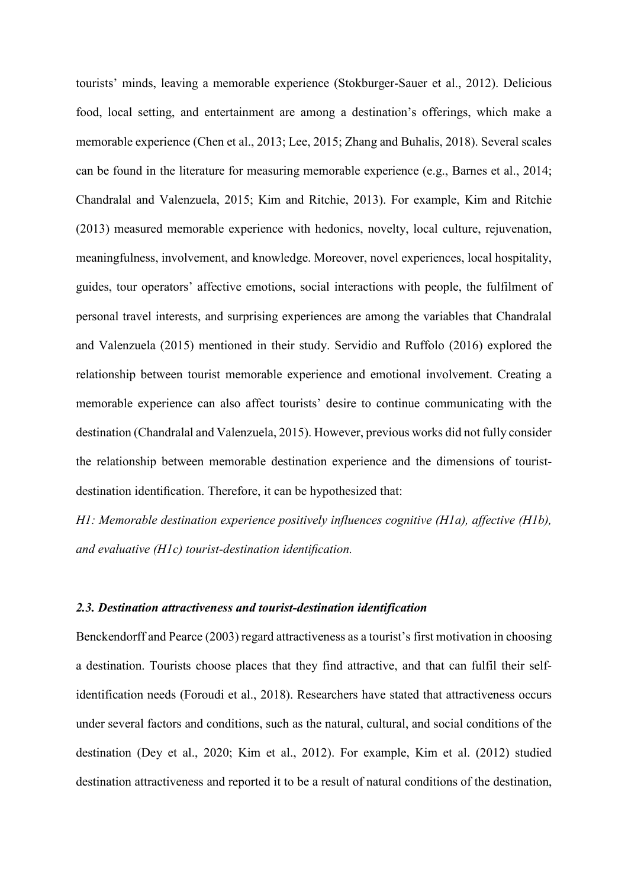tourists' minds, leaving a memorable experience (Stokburger-Sauer et al., 2012). Delicious food, local setting, and entertainment are among a destination's offerings, which make a memorable experience (Chen et al., 2013; Lee, 2015; Zhang and Buhalis, 2018). Several scales can be found in the literature for measuring memorable experience (e.g., Barnes et al., 2014; Chandralal and Valenzuela, 2015; Kim and Ritchie, 2013). For example, Kim and Ritchie (2013) measured memorable experience with hedonics, novelty, local culture, rejuvenation, meaningfulness, involvement, and knowledge. Moreover, novel experiences, local hospitality, guides, tour operators' affective emotions, social interactions with people, the fulfilment of personal travel interests, and surprising experiences are among the variables that Chandralal and Valenzuela (2015) mentioned in their study. Servidio and Ruffolo (2016) explored the relationship between tourist memorable experience and emotional involvement. Creating a memorable experience can also affect tourists' desire to continue communicating with the destination (Chandralal and Valenzuela, 2015). However, previous works did not fully consider the relationship between memorable destination experience and the dimensions of touristdestination identification. Therefore, it can be hypothesized that:

*H1: Memorable destination experience positively influences cognitive (H1a), affective (H1b), and evaluative (H1c) tourist-destination identification.*

## *2.3. Destination attractiveness and tourist-destination identification*

Benckendorff and Pearce (2003) regard attractiveness as a tourist's first motivation in choosing a destination. Tourists choose places that they find attractive, and that can fulfil their selfidentification needs (Foroudi et al., 2018). Researchers have stated that attractiveness occurs under several factors and conditions, such as the natural, cultural, and social conditions of the destination (Dey et al., 2020; Kim et al., 2012). For example, Kim et al. (2012) studied destination attractiveness and reported it to be a result of natural conditions of the destination,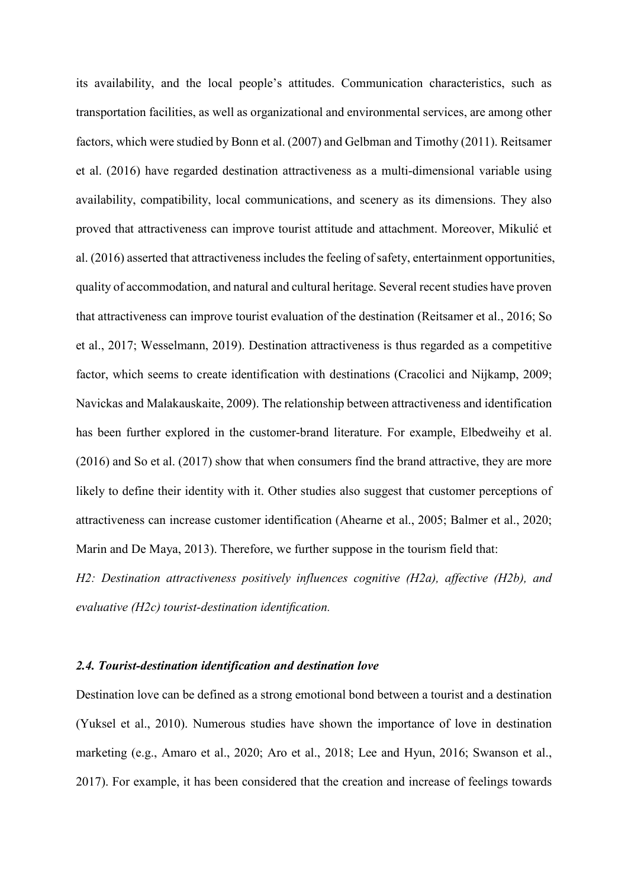its availability, and the local people's attitudes. Communication characteristics, such as transportation facilities, as well as organizational and environmental services, are among other factors, which were studied by Bonn et al. (2007) and Gelbman and Timothy (2011). Reitsamer et al. (2016) have regarded destination attractiveness as a multi-dimensional variable using availability, compatibility, local communications, and scenery as its dimensions. They also proved that attractiveness can improve tourist attitude and attachment. Moreover, Mikulić et al. (2016) asserted that attractiveness includes the feeling of safety, entertainment opportunities, quality of accommodation, and natural and cultural heritage. Several recent studies have proven that attractiveness can improve tourist evaluation of the destination (Reitsamer et al., 2016; So et al., 2017; Wesselmann, 2019). Destination attractiveness is thus regarded as a competitive factor, which seems to create identification with destinations (Cracolici and Nijkamp, 2009; Navickas and Malakauskaite, 2009). The relationship between attractiveness and identification has been further explored in the customer-brand literature. For example, Elbedweihy et al. (2016) and So et al. (2017) show that when consumers find the brand attractive, they are more likely to define their identity with it. Other studies also suggest that customer perceptions of attractiveness can increase customer identification (Ahearne et al., 2005; Balmer et al., 2020; Marin and De Maya, 2013). Therefore, we further suppose in the tourism field that:

*H2: Destination attractiveness positively influences cognitive (H2a), affective (H2b), and evaluative (H2c) tourist-destination identification.*

#### *2.4. Tourist-destination identification and destination love*

Destination love can be defined as a strong emotional bond between a tourist and a destination (Yuksel et al., 2010). Numerous studies have shown the importance of love in destination marketing (e.g., Amaro et al., 2020; Aro et al., 2018; Lee and Hyun, 2016; Swanson et al., 2017). For example, it has been considered that the creation and increase of feelings towards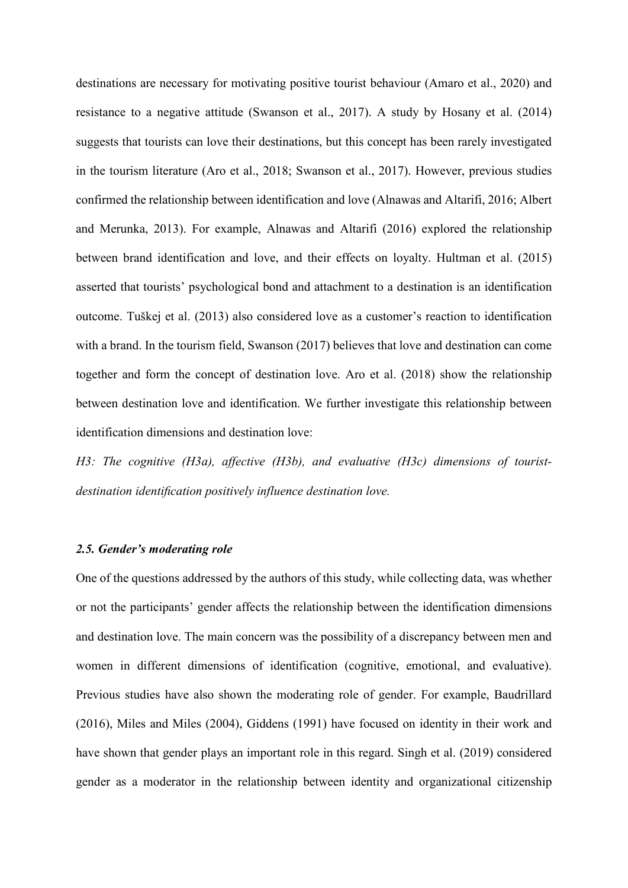destinations are necessary for motivating positive tourist behaviour (Amaro et al., 2020) and resistance to a negative attitude (Swanson et al., 2017). A study by Hosany et al. (2014) suggests that tourists can love their destinations, but this concept has been rarely investigated in the tourism literature (Aro et al., 2018; Swanson et al., 2017). However, previous studies confirmed the relationship between identification and love (Alnawas and Altarifi, 2016; Albert and Merunka, 2013). For example, Alnawas and Altarifi (2016) explored the relationship between brand identification and love, and their effects on loyalty. Hultman et al. (2015) asserted that tourists' psychological bond and attachment to a destination is an identification outcome. Tuškej et al. (2013) also considered love as a customer's reaction to identification with a brand. In the tourism field, Swanson (2017) believes that love and destination can come together and form the concept of destination love. Aro et al. (2018) show the relationship between destination love and identification. We further investigate this relationship between identification dimensions and destination love:

*H3: The cognitive (H3a), affective (H3b), and evaluative (H3c) dimensions of touristdestination identification positively influence destination love.*

## *2.5. Gender's moderating role*

One of the questions addressed by the authors of this study, while collecting data, was whether or not the participants' gender affects the relationship between the identification dimensions and destination love. The main concern was the possibility of a discrepancy between men and women in different dimensions of identification (cognitive, emotional, and evaluative). Previous studies have also shown the moderating role of gender. For example, Baudrillard (2016), Miles and Miles (2004), Giddens (1991) have focused on identity in their work and have shown that gender plays an important role in this regard. Singh et al. (2019) considered gender as a moderator in the relationship between identity and organizational citizenship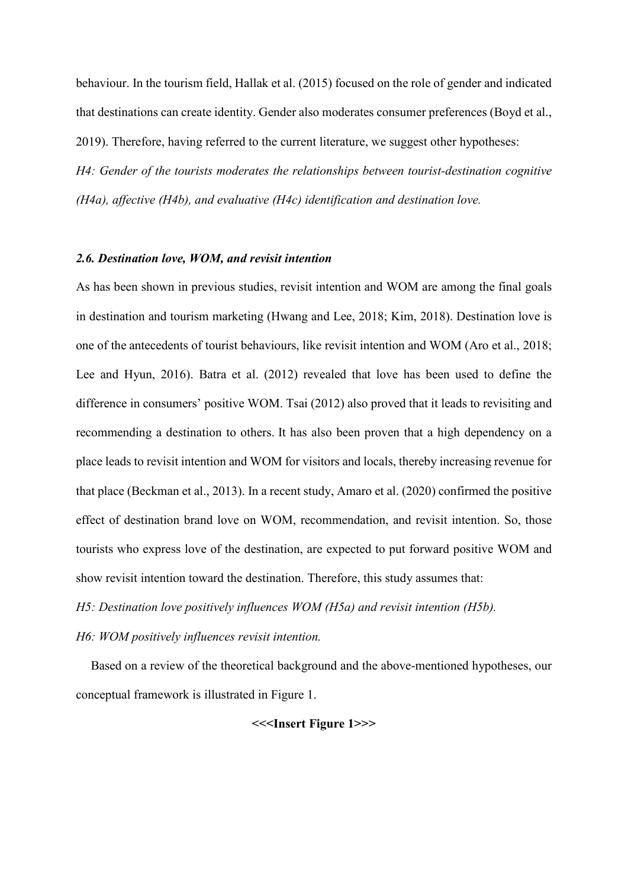behaviour. In the tourism field, Hallak et al. (2015) focused on the role of gender and indicated that destinations can create identity. Gender also moderates consumer preferences (Boyd et al., 2019). Therefore, having referred to the current literature, we suggest other hypotheses: *H4: Gender of the tourists moderates the relationships between tourist-destination cognitive (H4a), affective (H4b), and evaluative (H4c) identification and destination love.*

#### *2.6. Destination love, WOM, and revisit intention*

As has been shown in previous studies, revisit intention and WOM are among the final goals in destination and tourism marketing (Hwang and Lee, 2018; Kim, 2018). Destination love is one of the antecedents of tourist behaviours, like revisit intention and WOM (Aro et al., 2018; Lee and Hyun, 2016). Batra et al. (2012) revealed that love has been used to define the difference in consumers' positive WOM. Tsai (2012) also proved that it leads to revisiting and recommending a destination to others. It has also been proven that a high dependency on a place leads to revisit intention and WOM for visitors and locals, thereby increasing revenue for that place (Beckman et al., 2013). In a recent study, Amaro et al. (2020) confirmed the positive effect of destination brand love on WOM, recommendation, and revisit intention. So, those tourists who express love of the destination, are expected to put forward positive WOM and show revisit intention toward the destination. Therefore, this study assumes that:

*H5: Destination love positively influences WOM (H5a) and revisit intention (H5b).*

*H6: WOM positively influences revisit intention.*

Based on a review of the theoretical background and the above-mentioned hypotheses, our conceptual framework is illustrated in Figure 1.

#### **<<<Insert Figure 1>>>**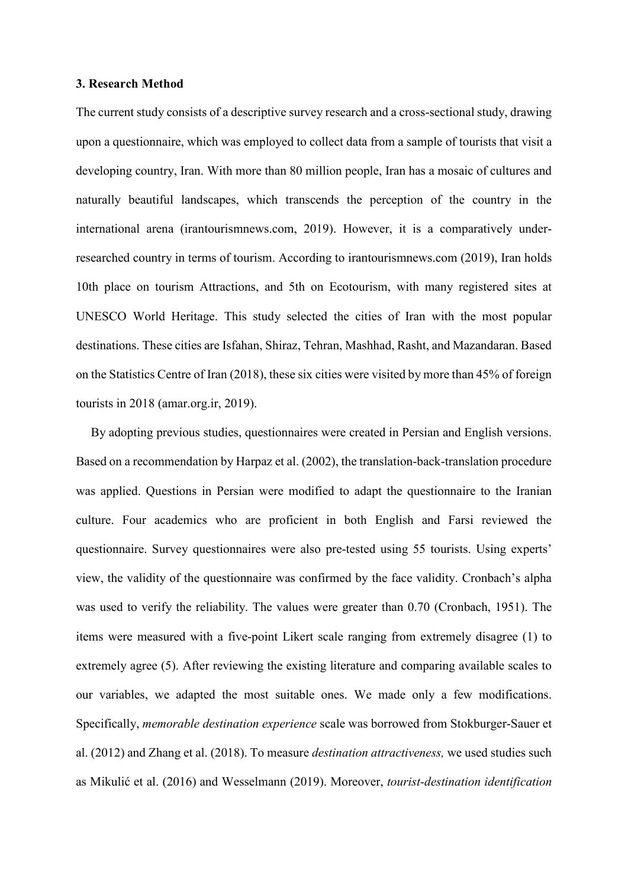#### **3. Research Method**

The current study consists of a descriptive survey research and a cross-sectional study, drawing upon a questionnaire, which was employed to collect data from a sample of tourists that visit a developing country, Iran. With more than 80 million people, Iran has a mosaic of cultures and naturally beautiful landscapes, which transcends the perception of the country in the international arena (irantourismnews.com, 2019). However, it is a comparatively underresearched country in terms of tourism. According to irantourismnews.com (2019), Iran holds 10th place on tourism Attractions, and 5th on Ecotourism, with many registered sites at UNESCO World Heritage. This study selected the cities of Iran with the most popular destinations. These cities are Isfahan, Shiraz, Tehran, Mashhad, Rasht, and Mazandaran. Based on the Statistics Centre of Iran (2018), these six cities were visited by more than 45% of foreign tourists in 2018 (amar.org.ir, 2019).

By adopting previous studies, questionnaires were created in Persian and English versions. Based on a recommendation by Harpaz et al. (2002), the translation-back-translation procedure was applied. Questions in Persian were modified to adapt the questionnaire to the Iranian culture. Four academics who are proficient in both English and Farsi reviewed the questionnaire. Survey questionnaires were also pre-tested using 55 tourists. Using experts' view, the validity of the questionnaire was confirmed by the face validity. Cronbach's alpha was used to verify the reliability. The values were greater than 0.70 (Cronbach, 1951). The items were measured with a five-point Likert scale ranging from extremely disagree (1) to extremely agree (5). After reviewing the existing literature and comparing available scales to our variables, we adapted the most suitable ones. We made only a few modifications. Specifically, *memorable destination experience* scale was borrowed from Stokburger-Sauer et al. (2012) and Zhang et al. (2018). To measure *destination attractiveness,* we used studies such as Mikulić et al. (2016) and Wesselmann (2019). Moreover, *tourist-destination identification*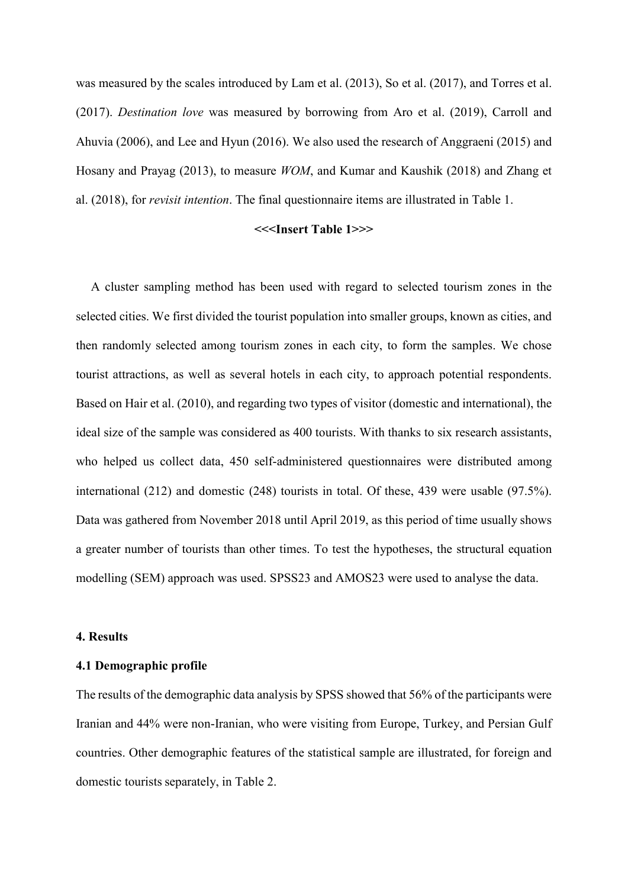was measured by the scales introduced by Lam et al. (2013), So et al. (2017), and Torres et al. (2017). *Destination love* was measured by borrowing from Aro et al. (2019), Carroll and Ahuvia (2006), and Lee and Hyun (2016). We also used the research of Anggraeni (2015) and Hosany and Prayag (2013), to measure *WOM*, and Kumar and Kaushik (2018) and Zhang et al. (2018), for *revisit intention*. The final questionnaire items are illustrated in Table 1.

#### **<<<Insert Table 1>>>**

A cluster sampling method has been used with regard to selected tourism zones in the selected cities. We first divided the tourist population into smaller groups, known as cities, and then randomly selected among tourism zones in each city, to form the samples. We chose tourist attractions, as well as several hotels in each city, to approach potential respondents. Based on Hair et al. (2010), and regarding two types of visitor (domestic and international), the ideal size of the sample was considered as 400 tourists. With thanks to six research assistants, who helped us collect data, 450 self-administered questionnaires were distributed among international (212) and domestic (248) tourists in total. Of these, 439 were usable (97.5%). Data was gathered from November 2018 until April 2019, as this period of time usually shows a greater number of tourists than other times. To test the hypotheses, the structural equation modelling (SEM) approach was used. SPSS23 and AMOS23 were used to analyse the data.

#### **4. Results**

#### **4.1 Demographic profile**

The results of the demographic data analysis by SPSS showed that 56% of the participants were Iranian and 44% were non-Iranian, who were visiting from Europe, Turkey, and Persian Gulf countries. Other demographic features of the statistical sample are illustrated, for foreign and domestic tourists separately, in Table 2.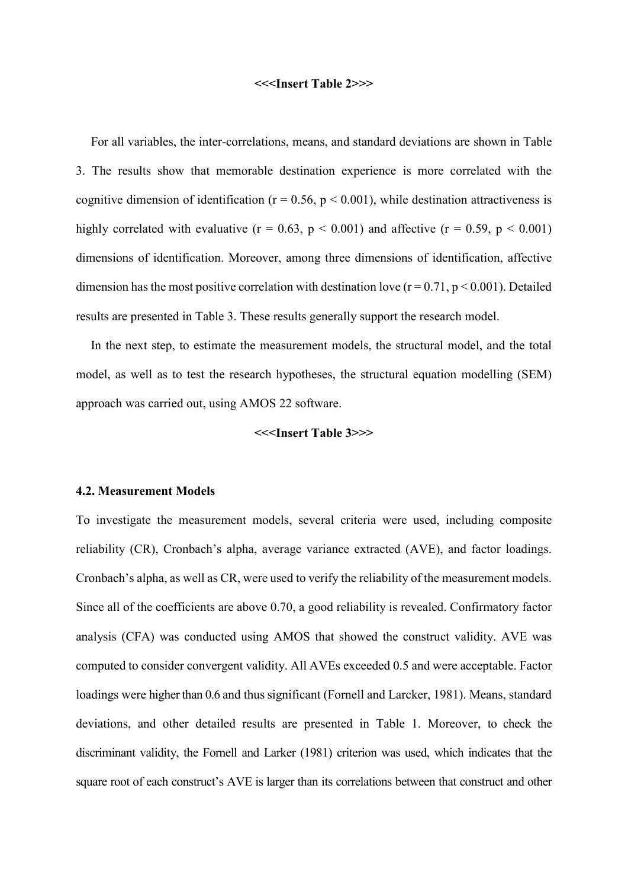#### **<<<Insert Table 2>>>**

For all variables, the inter-correlations, means, and standard deviations are shown in Table 3. The results show that memorable destination experience is more correlated with the cognitive dimension of identification ( $r = 0.56$ ,  $p < 0.001$ ), while destination attractiveness is highly correlated with evaluative  $(r = 0.63, p < 0.001)$  and affective  $(r = 0.59, p < 0.001)$ dimensions of identification. Moreover, among three dimensions of identification, affective dimension has the most positive correlation with destination love  $(r = 0.71, p \le 0.001)$ . Detailed results are presented in Table 3. These results generally support the research model.

In the next step, to estimate the measurement models, the structural model, and the total model, as well as to test the research hypotheses, the structural equation modelling (SEM) approach was carried out, using AMOS 22 software.

#### **<<<Insert Table 3>>>**

#### **4.2. Measurement Models**

To investigate the measurement models, several criteria were used, including composite reliability (CR), Cronbach's alpha, average variance extracted (AVE), and factor loadings. Cronbach's alpha, as well as CR, were used to verify the reliability of the measurement models. Since all of the coefficients are above 0.70, a good reliability is revealed. Confirmatory factor analysis (CFA) was conducted using AMOS that showed the construct validity. AVE was computed to consider convergent validity. All AVEs exceeded 0.5 and were acceptable. Factor loadings were higher than 0.6 and thus significant (Fornell and Larcker, 1981). Means, standard deviations, and other detailed results are presented in Table 1. Moreover, to check the discriminant validity, the Fornell and Larker (1981) criterion was used, which indicates that the square root of each construct's AVE is larger than its correlations between that construct and other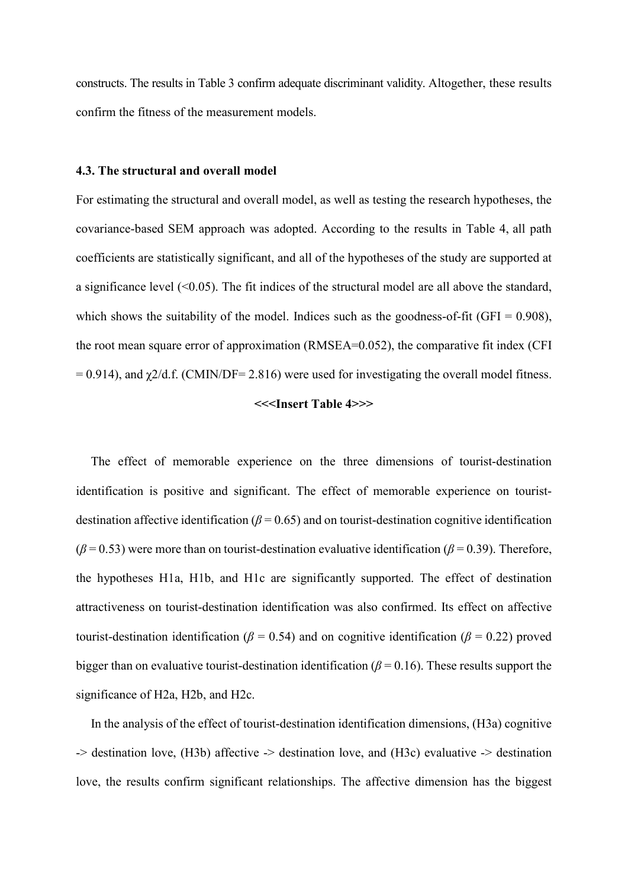constructs. The results in Table 3 confirm adequate discriminant validity. Altogether, these results confirm the fitness of the measurement models.

#### **4.3. The structural and overall model**

For estimating the structural and overall model, as well as testing the research hypotheses, the covariance-based SEM approach was adopted. According to the results in Table 4, all path coefficients are statistically significant, and all of the hypotheses of the study are supported at a significance level  $($ <0.05). The fit indices of the structural model are all above the standard, which shows the suitability of the model. Indices such as the goodness-of-fit (GFI =  $0.908$ ), the root mean square error of approximation (RMSEA=0.052), the comparative fit index (CFI  $= 0.914$ ), and  $\chi$ 2/d.f. (CMIN/DF= 2.816) were used for investigating the overall model fitness.

#### **<<<Insert Table 4>>>**

The effect of memorable experience on the three dimensions of tourist-destination identification is positive and significant. The effect of memorable experience on touristdestination affective identification ( $\beta$  = 0.65) and on tourist-destination cognitive identification  $(\beta = 0.53)$  were more than on tourist-destination evaluative identification ( $\beta = 0.39$ ). Therefore, the hypotheses H1a, H1b, and H1c are significantly supported. The effect of destination attractiveness on tourist-destination identification was also confirmed. Its effect on affective tourist-destination identification ( $\beta$  = 0.54) and on cognitive identification ( $\beta$  = 0.22) proved bigger than on evaluative tourist-destination identification (*β* = 0.16). These results support the significance of H2a, H2b, and H2c.

In the analysis of the effect of tourist-destination identification dimensions, (H3a) cognitive -> destination love, (H3b) affective -> destination love, and (H3c) evaluative -> destination love, the results confirm significant relationships. The affective dimension has the biggest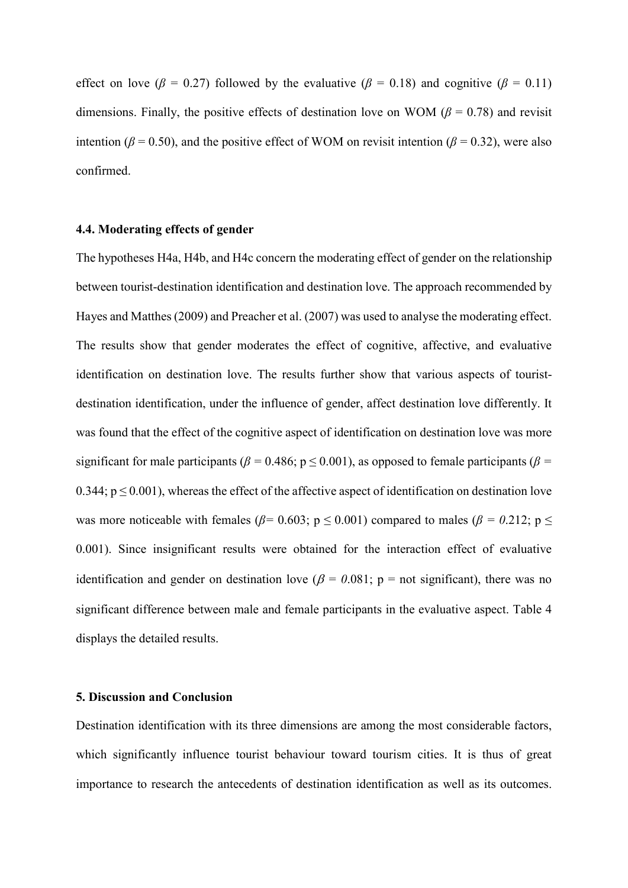effect on love ( $\beta = 0.27$ ) followed by the evaluative ( $\beta = 0.18$ ) and cognitive ( $\beta = 0.11$ ) dimensions. Finally, the positive effects of destination love on WOM ( $\beta$  = 0.78) and revisit intention ( $\beta$  = 0.50), and the positive effect of WOM on revisit intention ( $\beta$  = 0.32), were also confirmed.

### **4.4. Moderating effects of gender**

The hypotheses H4a, H4b, and H4c concern the moderating effect of gender on the relationship between tourist-destination identification and destination love. The approach recommended by Hayes and Matthes (2009) and Preacher et al. (2007) was used to analyse the moderating effect. The results show that gender moderates the effect of cognitive, affective, and evaluative identification on destination love. The results further show that various aspects of touristdestination identification, under the influence of gender, affect destination love differently. It was found that the effect of the cognitive aspect of identification on destination love was more significant for male participants ( $\beta$  = 0.486; p  $\leq$  0.001), as opposed to female participants ( $\beta$  = 0.344;  $p \le 0.001$ ), whereas the effect of the affective aspect of identification on destination love was more noticeable with females ( $\beta$ = 0.603; p ≤ 0.001) compared to males ( $\beta$  = 0.212; p ≤ 0.001). Since insignificant results were obtained for the interaction effect of evaluative identification and gender on destination love ( $\beta = 0.081$ ; p = not significant), there was no significant difference between male and female participants in the evaluative aspect. Table 4 displays the detailed results.

#### **5. Discussion and Conclusion**

Destination identification with its three dimensions are among the most considerable factors, which significantly influence tourist behaviour toward tourism cities. It is thus of great importance to research the antecedents of destination identification as well as its outcomes.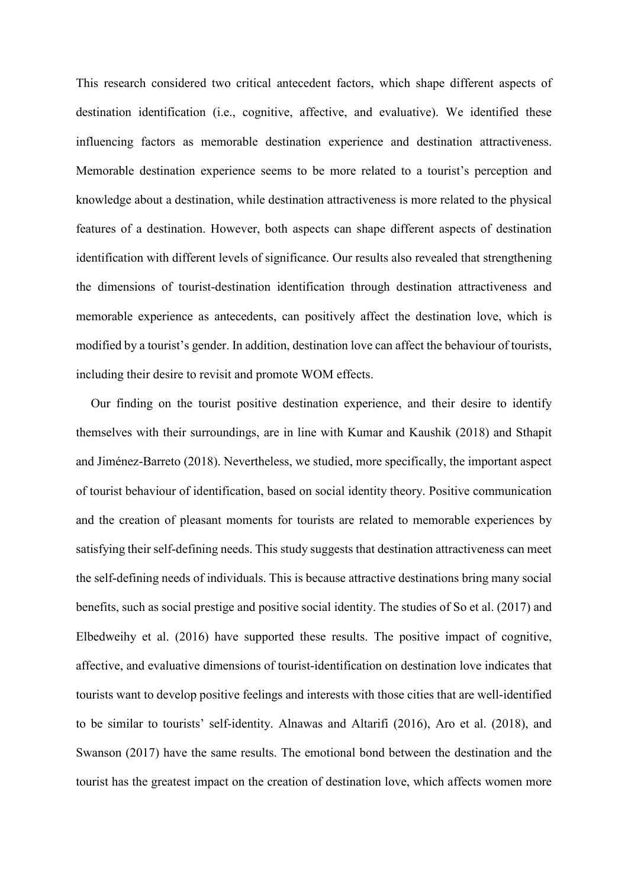This research considered two critical antecedent factors, which shape different aspects of destination identification (i.e., cognitive, affective, and evaluative). We identified these influencing factors as memorable destination experience and destination attractiveness. Memorable destination experience seems to be more related to a tourist's perception and knowledge about a destination, while destination attractiveness is more related to the physical features of a destination. However, both aspects can shape different aspects of destination identification with different levels of significance. Our results also revealed that strengthening the dimensions of tourist-destination identification through destination attractiveness and memorable experience as antecedents, can positively affect the destination love, which is modified by a tourist's gender. In addition, destination love can affect the behaviour of tourists, including their desire to revisit and promote WOM effects.

Our finding on the tourist positive destination experience, and their desire to identify themselves with their surroundings, are in line with Kumar and Kaushik (2018) and Sthapit and Jiménez-Barreto (2018). Nevertheless, we studied, more specifically, the important aspect of tourist behaviour of identification, based on social identity theory. Positive communication and the creation of pleasant moments for tourists are related to memorable experiences by satisfying their self-defining needs. This study suggests that destination attractiveness can meet the self-defining needs of individuals. This is because attractive destinations bring many social benefits, such as social prestige and positive social identity. The studies of So et al. (2017) and Elbedweihy et al. (2016) have supported these results. The positive impact of cognitive, affective, and evaluative dimensions of tourist-identification on destination love indicates that tourists want to develop positive feelings and interests with those cities that are well-identified to be similar to tourists' self-identity. Alnawas and Altarifi (2016), Aro et al. (2018), and Swanson (2017) have the same results. The emotional bond between the destination and the tourist has the greatest impact on the creation of destination love, which affects women more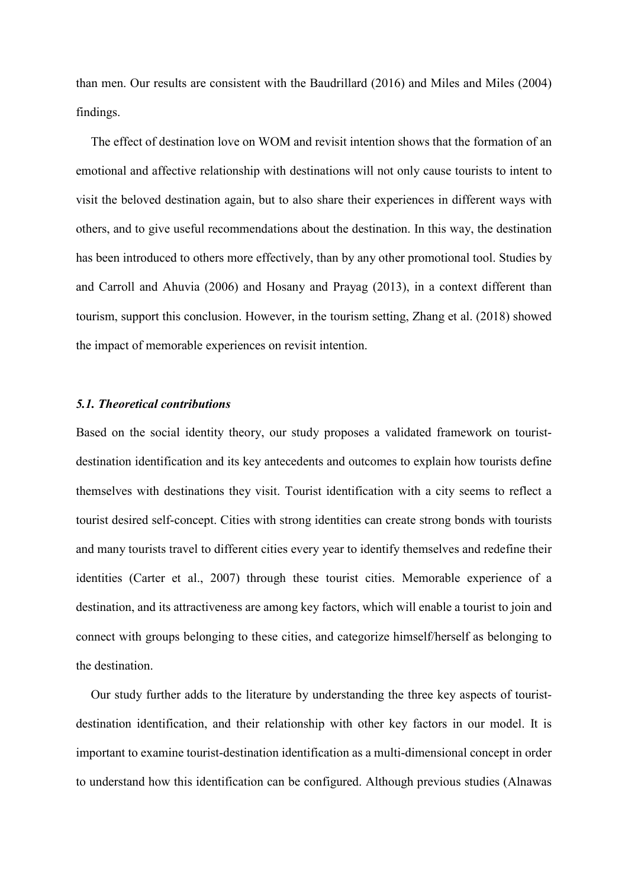than men. Our results are consistent with the Baudrillard (2016) and Miles and Miles (2004) findings.

The effect of destination love on WOM and revisit intention shows that the formation of an emotional and affective relationship with destinations will not only cause tourists to intent to visit the beloved destination again, but to also share their experiences in different ways with others, and to give useful recommendations about the destination. In this way, the destination has been introduced to others more effectively, than by any other promotional tool. Studies by and Carroll and Ahuvia (2006) and Hosany and Prayag (2013), in a context different than tourism, support this conclusion. However, in the tourism setting, Zhang et al. (2018) showed the impact of memorable experiences on revisit intention.

#### *5.1. Theoretical contributions*

Based on the social identity theory, our study proposes a validated framework on touristdestination identification and its key antecedents and outcomes to explain how tourists define themselves with destinations they visit. Tourist identification with a city seems to reflect a tourist desired self-concept. Cities with strong identities can create strong bonds with tourists and many tourists travel to different cities every year to identify themselves and redefine their identities (Carter et al., 2007) through these tourist cities. Memorable experience of a destination, and its attractiveness are among key factors, which will enable a tourist to join and connect with groups belonging to these cities, and categorize himself/herself as belonging to the destination.

Our study further adds to the literature by understanding the three key aspects of touristdestination identification, and their relationship with other key factors in our model. It is important to examine tourist-destination identification as a multi-dimensional concept in order to understand how this identification can be configured. Although previous studies (Alnawas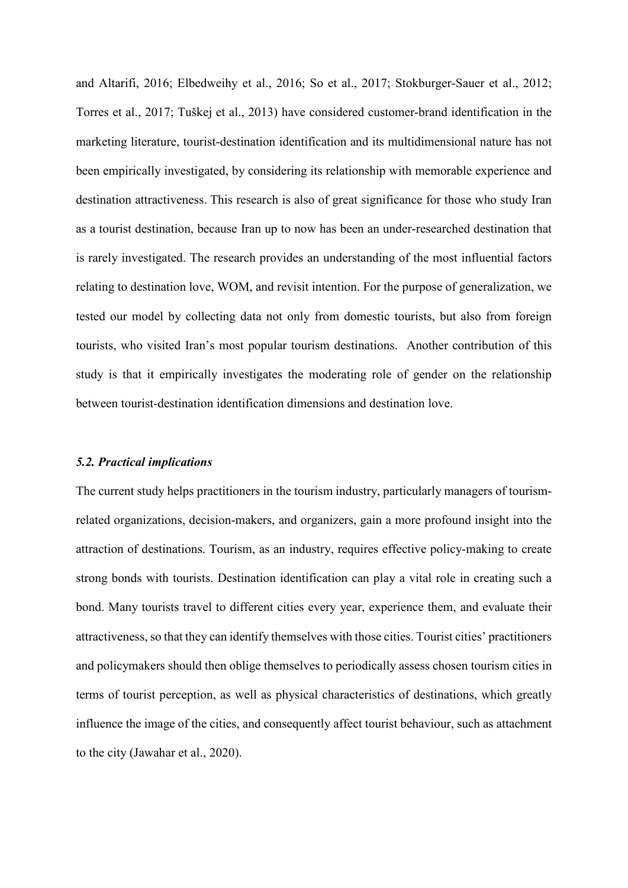and Altarifi, 2016; Elbedweihy et al., 2016; So et al., 2017; Stokburger-Sauer et al., 2012; Torres et al., 2017; Tuškej et al., 2013) have considered customer-brand identification in the marketing literature, tourist-destination identification and its multidimensional nature has not been empirically investigated, by considering its relationship with memorable experience and destination attractiveness. This research is also of great significance for those who study Iran as a tourist destination, because Iran up to now has been an under-researched destination that is rarely investigated. The research provides an understanding of the most influential factors relating to destination love, WOM, and revisit intention. For the purpose of generalization, we tested our model by collecting data not only from domestic tourists, but also from foreign tourists, who visited Iran's most popular tourism destinations. Another contribution of this study is that it empirically investigates the moderating role of gender on the relationship between tourist-destination identification dimensions and destination love.

#### *5.2. Practical implications*

The current study helps practitioners in the tourism industry, particularly managers of tourismrelated organizations, decision-makers, and organizers, gain a more profound insight into the attraction of destinations. Tourism, as an industry, requires effective policy-making to create strong bonds with tourists. Destination identification can play a vital role in creating such a bond. Many tourists travel to different cities every year, experience them, and evaluate their attractiveness, so that they can identify themselves with those cities. Tourist cities' practitioners and policymakers should then oblige themselves to periodically assess chosen tourism cities in terms of tourist perception, as well as physical characteristics of destinations, which greatly influence the image of the cities, and consequently affect tourist behaviour, such as attachment to the city (Jawahar et al., 2020).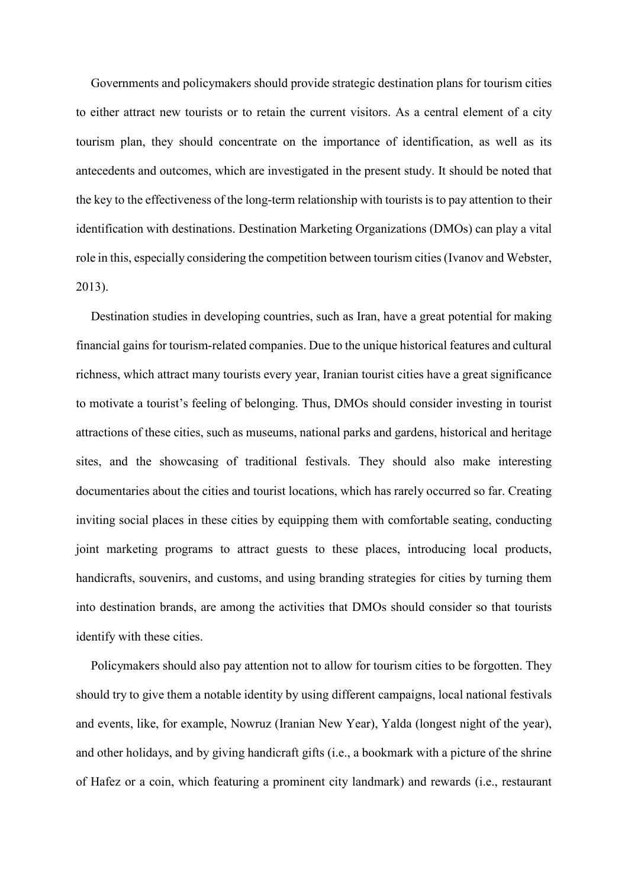Governments and policymakers should provide strategic destination plans for tourism cities to either attract new tourists or to retain the current visitors. As a central element of a city tourism plan, they should concentrate on the importance of identification, as well as its antecedents and outcomes, which are investigated in the present study. It should be noted that the key to the effectiveness of the long-term relationship with tourists is to pay attention to their identification with destinations. Destination Marketing Organizations (DMOs) can play a vital role in this, especially considering the competition between tourism cities (Ivanov and Webster, 2013).

Destination studies in developing countries, such as Iran, have a great potential for making financial gains for tourism-related companies. Due to the unique historical features and cultural richness, which attract many tourists every year, Iranian tourist cities have a great significance to motivate a tourist's feeling of belonging. Thus, DMOs should consider investing in tourist attractions of these cities, such as museums, national parks and gardens, historical and heritage sites, and the showcasing of traditional festivals. They should also make interesting documentaries about the cities and tourist locations, which has rarely occurred so far. Creating inviting social places in these cities by equipping them with comfortable seating, conducting joint marketing programs to attract guests to these places, introducing local products, handicrafts, souvenirs, and customs, and using branding strategies for cities by turning them into destination brands, are among the activities that DMOs should consider so that tourists identify with these cities.

Policymakers should also pay attention not to allow for tourism cities to be forgotten. They should try to give them a notable identity by using different campaigns, local national festivals and events, like, for example, Nowruz (Iranian New Year), Yalda (longest night of the year), and other holidays, and by giving handicraft gifts (i.e., a bookmark with a picture of the shrine of Hafez or a coin, which featuring a prominent city landmark) and rewards (i.e., restaurant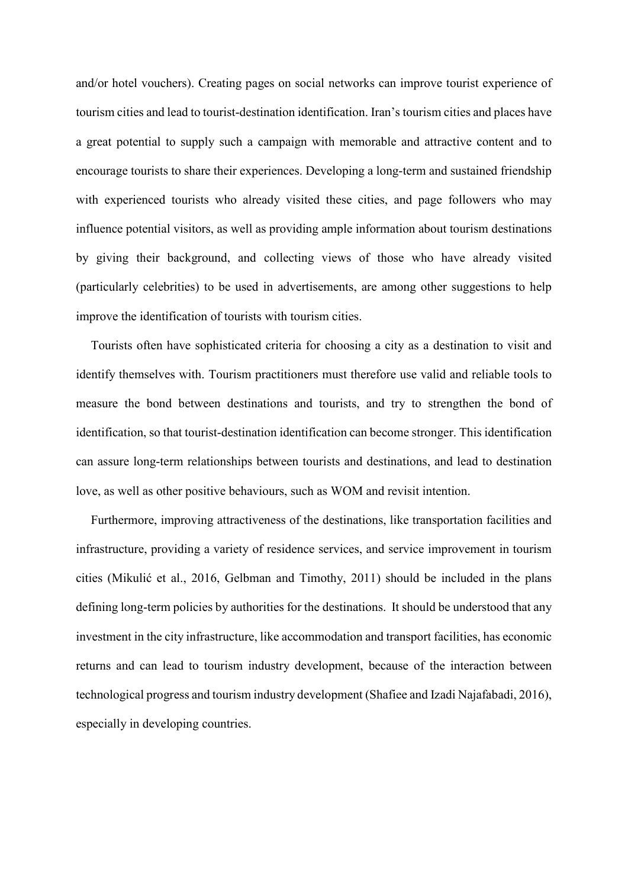and/or hotel vouchers). Creating pages on social networks can improve tourist experience of tourism cities and lead to tourist-destination identification. Iran's tourism cities and places have a great potential to supply such a campaign with memorable and attractive content and to encourage tourists to share their experiences. Developing a long-term and sustained friendship with experienced tourists who already visited these cities, and page followers who may influence potential visitors, as well as providing ample information about tourism destinations by giving their background, and collecting views of those who have already visited (particularly celebrities) to be used in advertisements, are among other suggestions to help improve the identification of tourists with tourism cities.

Tourists often have sophisticated criteria for choosing a city as a destination to visit and identify themselves with. Tourism practitioners must therefore use valid and reliable tools to measure the bond between destinations and tourists, and try to strengthen the bond of identification, so that tourist-destination identification can become stronger. This identification can assure long-term relationships between tourists and destinations, and lead to destination love, as well as other positive behaviours, such as WOM and revisit intention.

Furthermore, improving attractiveness of the destinations, like transportation facilities and infrastructure, providing a variety of residence services, and service improvement in tourism cities (Mikulić et al., 2016, Gelbman and Timothy, 2011) should be included in the plans defining long-term policies by authorities for the destinations. It should be understood that any investment in the city infrastructure, like accommodation and transport facilities, has economic returns and can lead to tourism industry development, because of the interaction between technological progress and tourism industry development (Shafiee and Izadi Najafabadi, 2016), especially in developing countries.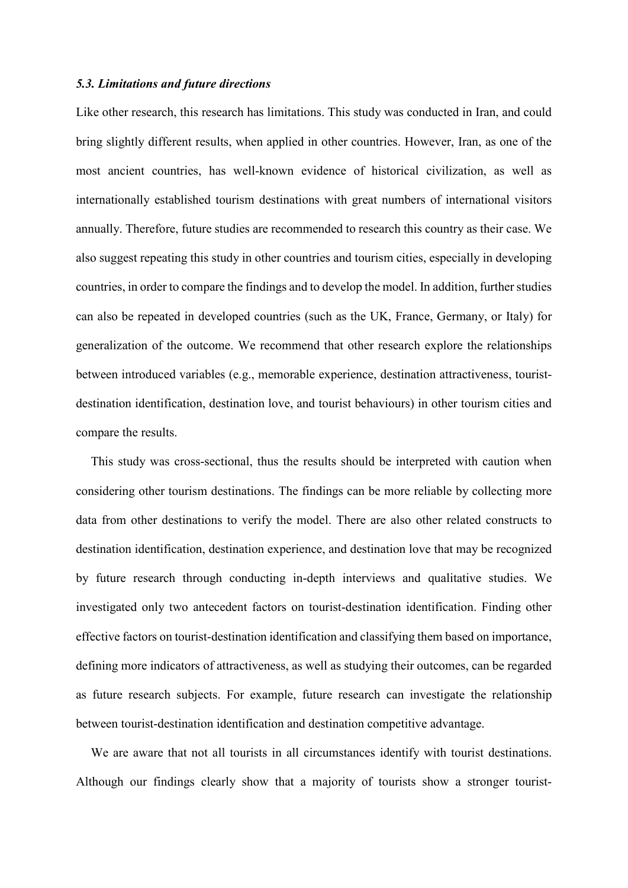#### *5.3. Limitations and future directions*

Like other research, this research has limitations. This study was conducted in Iran, and could bring slightly different results, when applied in other countries. However, Iran, as one of the most ancient countries, has well-known evidence of historical civilization, as well as internationally established tourism destinations with great numbers of international visitors annually. Therefore, future studies are recommended to research this country as their case. We also suggest repeating this study in other countries and tourism cities, especially in developing countries, in order to compare the findings and to develop the model. In addition, further studies can also be repeated in developed countries (such as the UK, France, Germany, or Italy) for generalization of the outcome. We recommend that other research explore the relationships between introduced variables (e.g., memorable experience, destination attractiveness, touristdestination identification, destination love, and tourist behaviours) in other tourism cities and compare the results.

This study was cross-sectional, thus the results should be interpreted with caution when considering other tourism destinations. The findings can be more reliable by collecting more data from other destinations to verify the model. There are also other related constructs to destination identification, destination experience, and destination love that may be recognized by future research through conducting in-depth interviews and qualitative studies. We investigated only two antecedent factors on tourist-destination identification. Finding other effective factors on tourist-destination identification and classifying them based on importance, defining more indicators of attractiveness, as well as studying their outcomes, can be regarded as future research subjects. For example, future research can investigate the relationship between tourist-destination identification and destination competitive advantage.

We are aware that not all tourists in all circumstances identify with tourist destinations. Although our findings clearly show that a majority of tourists show a stronger tourist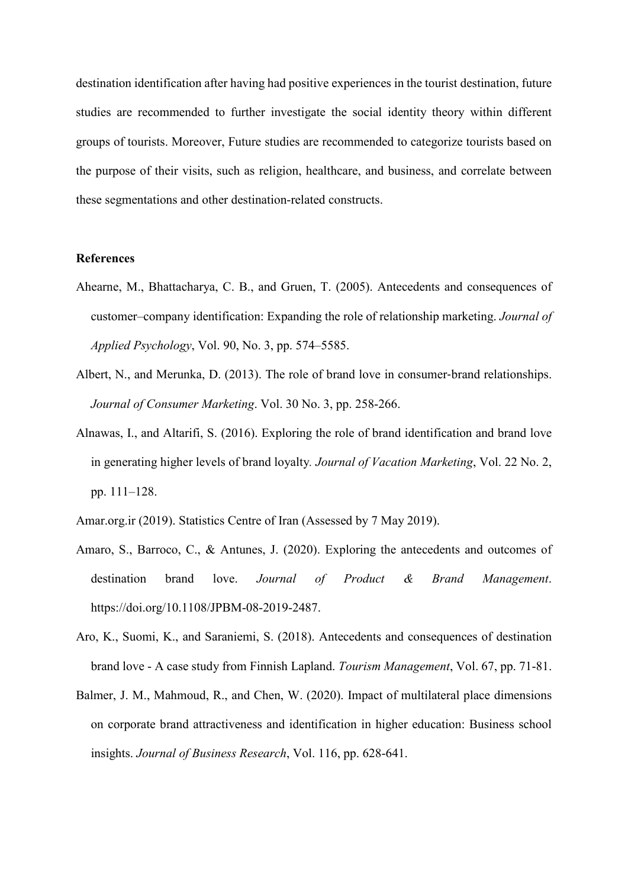destination identification after having had positive experiences in the tourist destination, future studies are recommended to further investigate the social identity theory within different groups of tourists. Moreover, Future studies are recommended to categorize tourists based on the purpose of their visits, such as religion, healthcare, and business, and correlate between these segmentations and other destination-related constructs.

#### **References**

- Ahearne, M., Bhattacharya, C. B., and Gruen, T. (2005). Antecedents and consequences of customer–company identification: Expanding the role of relationship marketing. *Journal of Applied Psychology*, Vol. 90, No. 3, pp. 574–5585.
- Albert, N., and Merunka, D. (2013). The role of brand love in consumer-brand relationships. *Journal of Consumer Marketing*. Vol. 30 No. 3, pp. 258-266.
- Alnawas, I., and Altarifi, S. (2016). Exploring the role of brand identification and brand love in generating higher levels of brand loyalty*. Journal of Vacation Marketing*, Vol. 22 No. 2, pp. 111–128.
- Amar.org.ir (2019). Statistics Centre of Iran (Assessed by 7 May 2019).
- Amaro, S., Barroco, C., & Antunes, J. (2020). Exploring the antecedents and outcomes of destination brand love. *Journal of Product & Brand Management*. https://doi.org/10.1108/JPBM-08-2019-2487.
- Aro, K., Suomi, K., and Saraniemi, S. (2018). Antecedents and consequences of destination brand love - A case study from Finnish Lapland. *Tourism Management*, Vol. 67, pp. 71-81.
- Balmer, J. M., Mahmoud, R., and Chen, W. (2020). Impact of multilateral place dimensions on corporate brand attractiveness and identification in higher education: Business school insights. *Journal of Business Research*, Vol. 116, pp. 628-641.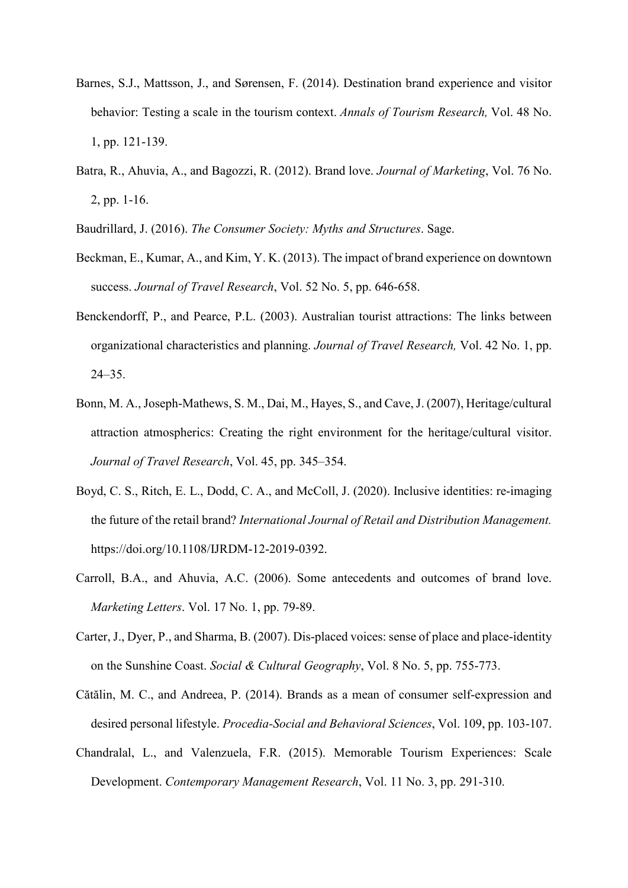- Barnes, S.J., Mattsson, J., and Sørensen, F. (2014). Destination brand experience and visitor behavior: Testing a scale in the tourism context. *Annals of Tourism Research,* Vol. 48 No. 1, pp. 121-139.
- Batra, R., Ahuvia, A., and Bagozzi, R. (2012). Brand love. *Journal of Marketing*, Vol. 76 No. 2, pp. 1-16.
- Baudrillard, J. (2016). *The Consumer Society: Myths and Structures*. Sage.
- Beckman, E., Kumar, A., and Kim, Y. K. (2013). The impact of brand experience on downtown success. *Journal of Travel Research*, Vol. 52 No. 5, pp. 646-658.
- Benckendorff, P., and Pearce, P.L. (2003). Australian tourist attractions: The links between organizational characteristics and planning. *Journal of Travel Research,* Vol. 42 No. 1, pp. 24–35.
- Bonn, M. A., Joseph-Mathews, S. M., Dai, M., Hayes, S., and Cave, J. (2007), Heritage/cultural attraction atmospherics: Creating the right environment for the heritage/cultural visitor. *Journal of Travel Research*, Vol. 45, pp. 345–354.
- Boyd, C. S., Ritch, E. L., Dodd, C. A., and McColl, J. (2020). Inclusive identities: re-imaging the future of the retail brand? *International Journal of Retail and Distribution Management.* https://doi.org/10.1108/IJRDM-12-2019-0392.
- Carroll, B.A., and Ahuvia, A.C. (2006). Some antecedents and outcomes of brand love. *Marketing Letters*. Vol. 17 No. 1, pp. 79-89.
- Carter, J., Dyer, P., and Sharma, B. (2007). Dis-placed voices: sense of place and place-identity on the Sunshine Coast. *Social & Cultural Geography*, Vol. 8 No. 5, pp. 755-773.
- Cătălin, M. C., and Andreea, P. (2014). Brands as a mean of consumer self-expression and desired personal lifestyle. *Procedia-Social and Behavioral Sciences*, Vol. 109, pp. 103-107.
- Chandralal, L., and Valenzuela, F.R. (2015). Memorable Tourism Experiences: Scale Development. *Contemporary Management Research*, Vol. 11 No. 3, pp. 291-310.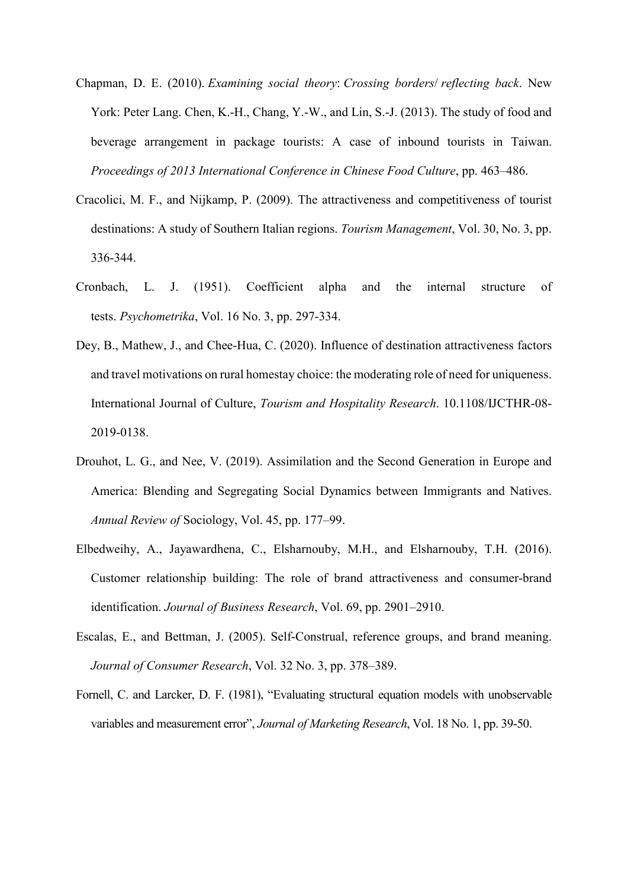- Chapman, D. E. (2010). *Examining social theory*: *Crossing borders*/ *reflecting back*. New York: Peter Lang. Chen, K.-H., Chang, Y.-W., and Lin, S.-J. (2013). The study of food and beverage arrangement in package tourists: A case of inbound tourists in Taiwan. *Proceedings of 2013 International Conference in Chinese Food Culture*, pp. 463–486.
- Cracolici, M. F., and Nijkamp, P. (2009). The attractiveness and competitiveness of tourist destinations: A study of Southern Italian regions. *Tourism Management*, Vol. 30, No. 3, pp. 336-344.
- Cronbach, L. J. (1951). Coefficient alpha and the internal structure of tests. *Psychometrika*, Vol. 16 No. 3, pp. 297-334.
- Dey, B., Mathew, J., and Chee-Hua, C. (2020). Influence of destination attractiveness factors and travel motivations on rural homestay choice: the moderating role of need for uniqueness. International Journal of Culture, *Tourism and Hospitality Research*. 10.1108/IJCTHR-08- 2019-0138.
- Drouhot, L. G., and Nee, V. (2019). Assimilation and the Second Generation in Europe and America: Blending and Segregating Social Dynamics between Immigrants and Natives. *Annual Review of* Sociology, Vol. 45, pp. 177–99.
- Elbedweihy, A., Jayawardhena, C., Elsharnouby, M.H., and Elsharnouby, T.H. (2016). Customer relationship building: The role of brand attractiveness and consumer-brand identification. *Journal of Business Research*, Vol. 69, pp. 2901–2910.
- Escalas, E., and Bettman, J. (2005). Self-Construal, reference groups, and brand meaning. *Journal of Consumer Research*, Vol. 32 No. 3, pp. 378–389.
- Fornell, C. and Larcker, D. F. (1981), "Evaluating structural equation models with unobservable variables and measurement error", *Journal of Marketing Research*, Vol. 18 No. 1, pp. 39-50.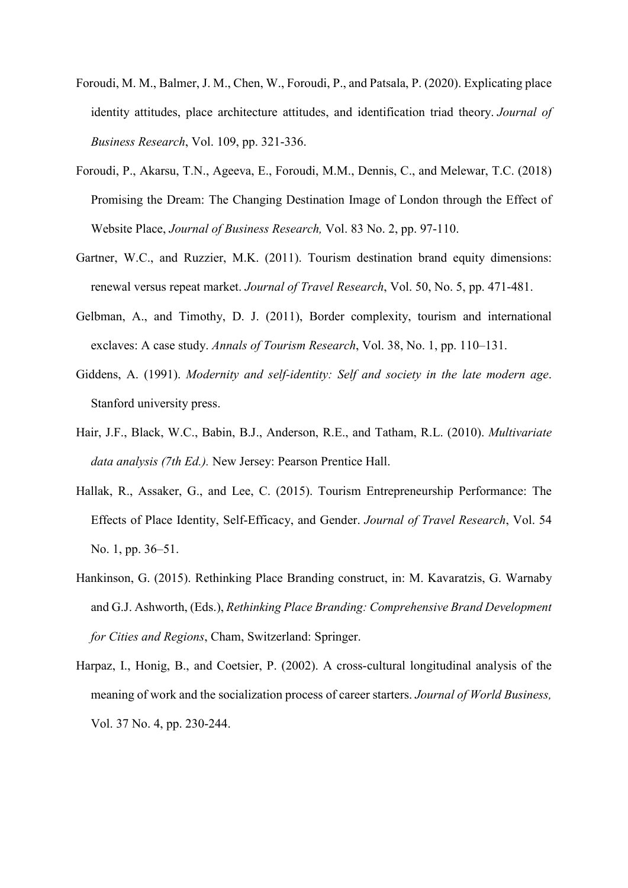- Foroudi, M. M., Balmer, J. M., Chen, W., Foroudi, P., and Patsala, P. (2020). Explicating place identity attitudes, place architecture attitudes, and identification triad theory. *Journal of Business Research*, Vol. 109, pp. 321-336.
- Foroudi, P., Akarsu, T.N., Ageeva, E., Foroudi, M.M., Dennis, C., and Melewar, T.C. (2018) Promising the Dream: The Changing Destination Image of London through the Effect of Website Place, *Journal of Business Research,* Vol. 83 No. 2, pp. 97-110.
- Gartner, W.C., and Ruzzier, M.K. (2011). Tourism destination brand equity dimensions: renewal versus repeat market. *Journal of Travel Research*, Vol. 50, No. 5, pp. 471-481.
- Gelbman, A., and Timothy, D. J. (2011), Border complexity, tourism and international exclaves: A case study. *Annals of Tourism Research*, Vol. 38, No. 1, pp. 110–131.
- Giddens, A. (1991). *Modernity and self-identity: Self and society in the late modern age*. Stanford university press.
- Hair, J.F., Black, W.C., Babin, B.J., Anderson, R.E., and Tatham, R.L. (2010). *Multivariate data analysis (7th Ed.).* New Jersey: Pearson Prentice Hall.
- Hallak, R., Assaker, G., and Lee, C. (2015). Tourism Entrepreneurship Performance: The Effects of Place Identity, Self-Efficacy, and Gender. *Journal of Travel Research*, Vol. 54 No. 1, pp. 36–51.
- Hankinson, G. (2015). Rethinking Place Branding construct, in: M. Kavaratzis, G. Warnaby and G.J. Ashworth, (Eds.), *Rethinking Place Branding: Comprehensive Brand Development for Cities and Regions*, Cham, Switzerland: Springer.
- Harpaz, I., Honig, B., and Coetsier, P. (2002). A cross-cultural longitudinal analysis of the meaning of work and the socialization process of career starters. *Journal of World Business,*  Vol. 37 No. 4, pp. 230-244.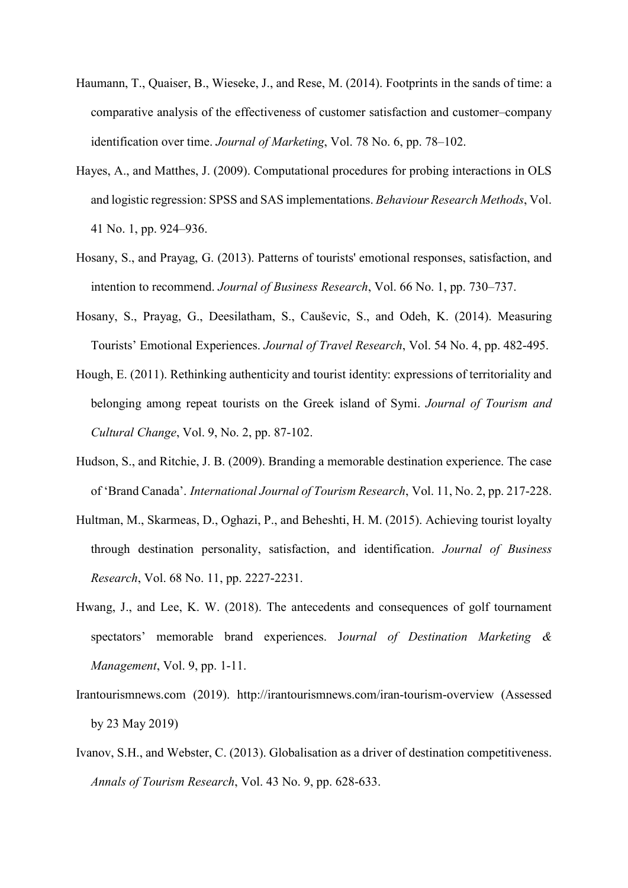- Haumann, T., Quaiser, B., Wieseke, J., and Rese, M. (2014). Footprints in the sands of time: a comparative analysis of the effectiveness of customer satisfaction and customer–company identification over time. *Journal of Marketing*, Vol. 78 No. 6, pp. 78–102.
- Hayes, A., and Matthes, J. (2009). Computational procedures for probing interactions in OLS and logistic regression: SPSS and SAS implementations. *Behaviour Research Methods*, Vol. 41 No. 1, pp. 924–936.
- Hosany, S., and Prayag, G. (2013). Patterns of tourists' emotional responses, satisfaction, and intention to recommend. *Journal of Business Research*, Vol. 66 No. 1, pp. 730–737.
- Hosany, S., Prayag, G., Deesilatham, S., Cauševic, S., and Odeh, K. (2014). Measuring Tourists' Emotional Experiences. *Journal of Travel Research*, Vol. 54 No. 4, pp. 482-495.
- Hough, E. (2011). Rethinking authenticity and tourist identity: expressions of territoriality and belonging among repeat tourists on the Greek island of Symi. *Journal of Tourism and Cultural Change*, Vol. 9, No. 2, pp. 87-102.
- Hudson, S., and Ritchie, J. B. (2009). Branding a memorable destination experience. The case of 'Brand Canada'. *International Journal of Tourism Research*, Vol. 11, No. 2, pp. 217-228.
- Hultman, M., Skarmeas, D., Oghazi, P., and Beheshti, H. M. (2015). Achieving tourist loyalty through destination personality, satisfaction, and identification. *Journal of Business Research*, Vol. 68 No. 11, pp. 2227-2231.
- Hwang, J., and Lee, K. W. (2018). The antecedents and consequences of golf tournament spectators' memorable brand experiences. J*ournal of Destination Marketing & Management*, Vol. 9, pp. 1-11.
- Irantourismnews.com (2019). http://irantourismnews.com/iran-tourism-overview (Assessed by 23 May 2019)
- Ivanov, S.H., and Webster, C. (2013). Globalisation as a driver of destination competitiveness. *Annals of Tourism Research*, Vol. 43 No. 9, pp. 628-633.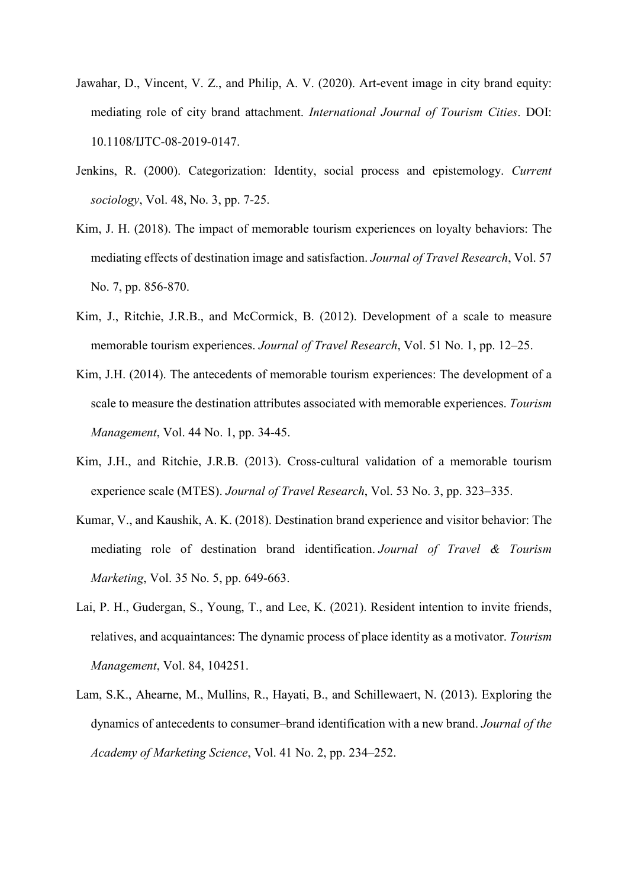- Jawahar, D., Vincent, V. Z., and Philip, A. V. (2020). Art-event image in city brand equity: mediating role of city brand attachment. *International Journal of Tourism Cities*. DOI: 10.1108/IJTC-08-2019-0147.
- Jenkins, R. (2000). Categorization: Identity, social process and epistemology. *Current sociology*, Vol. 48, No. 3, pp. 7-25.
- Kim, J. H. (2018). The impact of memorable tourism experiences on loyalty behaviors: The mediating effects of destination image and satisfaction. *Journal of Travel Research*, Vol. 57 No. 7, pp. 856-870.
- Kim, J., Ritchie, J.R.B., and McCormick, B. (2012). Development of a scale to measure memorable tourism experiences. *Journal of Travel Research*, Vol. 51 No. 1, pp. 12–25.
- Kim, J.H. (2014). The antecedents of memorable tourism experiences: The development of a scale to measure the destination attributes associated with memorable experiences. *Tourism Management*, Vol. 44 No. 1, pp. 34-45.
- Kim, J.H., and Ritchie, J.R.B. (2013). Cross-cultural validation of a memorable tourism experience scale (MTES). *Journal of Travel Research*, Vol. 53 No. 3, pp. 323–335.
- Kumar, V., and Kaushik, A. K. (2018). Destination brand experience and visitor behavior: The mediating role of destination brand identification. *Journal of Travel & Tourism Marketing*, Vol. 35 No. 5, pp. 649-663.
- Lai, P. H., Gudergan, S., Young, T., and Lee, K. (2021). Resident intention to invite friends, relatives, and acquaintances: The dynamic process of place identity as a motivator. *Tourism Management*, Vol. 84, 104251.
- Lam, S.K., Ahearne, M., Mullins, R., Hayati, B., and Schillewaert, N. (2013). Exploring the dynamics of antecedents to consumer–brand identification with a new brand. *Journal of the Academy of Marketing Science*, Vol. 41 No. 2, pp. 234–252.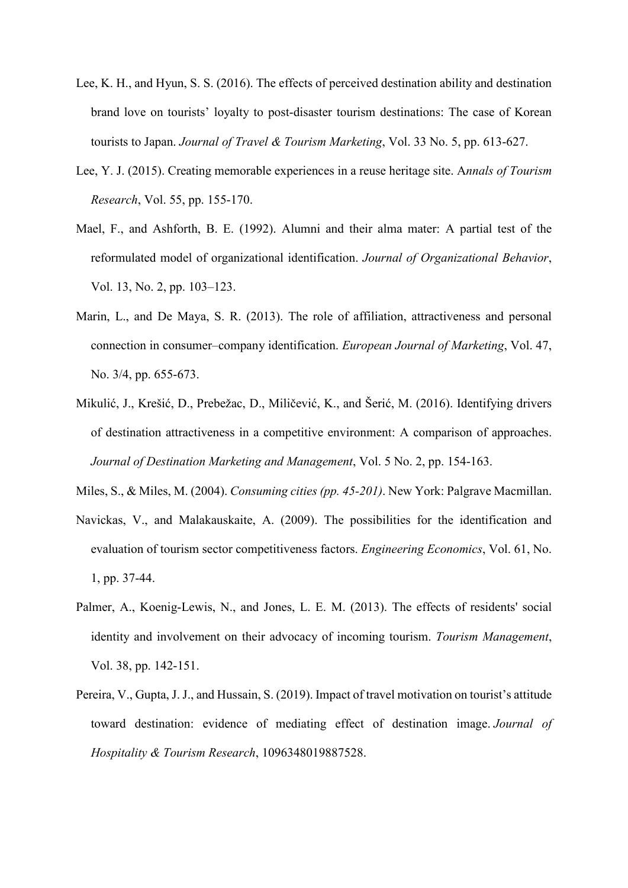- Lee, K. H., and Hyun, S. S. (2016). The effects of perceived destination ability and destination brand love on tourists' loyalty to post-disaster tourism destinations: The case of Korean tourists to Japan. *Journal of Travel & Tourism Marketing*, Vol. 33 No. 5, pp. 613-627.
- Lee, Y. J. (2015). Creating memorable experiences in a reuse heritage site. A*nnals of Tourism Research*, Vol. 55, pp. 155-170.
- Mael, F., and Ashforth, B. E. (1992). Alumni and their alma mater: A partial test of the reformulated model of organizational identification. *Journal of Organizational Behavior*, Vol. 13, No. 2, pp. 103–123.
- Marin, L., and De Maya, S. R. (2013). The role of affiliation, attractiveness and personal connection in consumer–company identification. *European Journal of Marketing*, Vol. 47, No. 3/4, pp. 655-673.
- Mikulić, J., Krešić, D., Prebežac, D., Miličević, K., and Šerić, M. (2016). Identifying drivers of destination attractiveness in a competitive environment: A comparison of approaches. *Journal of Destination Marketing and Management*, Vol. 5 No. 2, pp. 154-163.
- Miles, S., & Miles, M. (2004). *Consuming cities (pp. 45-201)*. New York: Palgrave Macmillan.
- Navickas, V., and Malakauskaite, A. (2009). The possibilities for the identification and evaluation of tourism sector competitiveness factors. *Engineering Economics*, Vol. 61, No. 1, pp. 37-44.
- Palmer, A., Koenig-Lewis, N., and Jones, L. E. M. (2013). The effects of residents' social identity and involvement on their advocacy of incoming tourism. *Tourism Management*, Vol. 38, pp. 142-151.
- Pereira, V., Gupta, J. J., and Hussain, S. (2019). Impact of travel motivation on tourist's attitude toward destination: evidence of mediating effect of destination image. *Journal of Hospitality & Tourism Research*, 1096348019887528.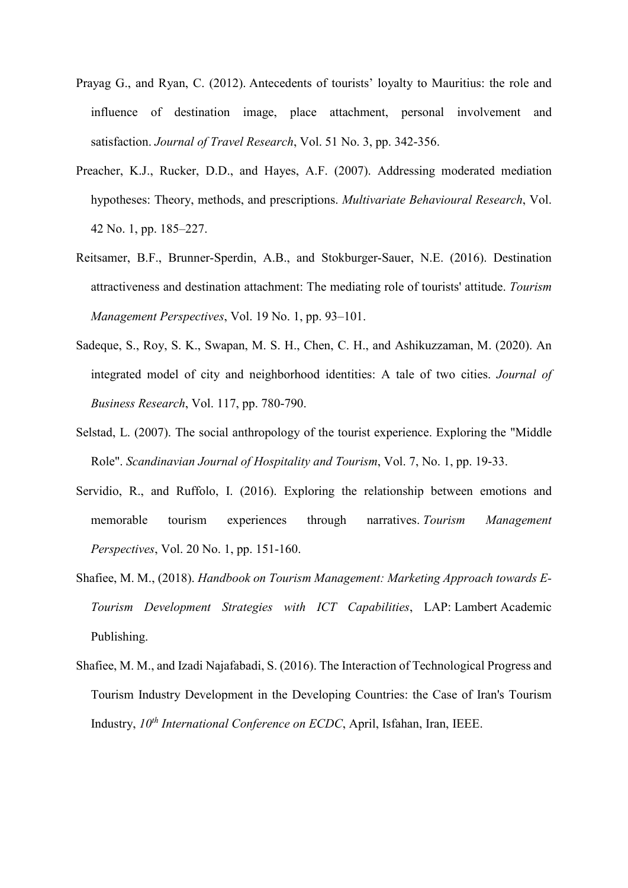- Prayag G., and Ryan, C. (2012). Antecedents of tourists' loyalty to Mauritius: the role and influence of destination image, place attachment, personal involvement and satisfaction. *Journal of Travel Research*, Vol. 51 No. 3, pp. 342-356.
- Preacher, K.J., Rucker, D.D., and Hayes, A.F. (2007). Addressing moderated mediation hypotheses: Theory, methods, and prescriptions. *Multivariate Behavioural Research*, Vol. 42 No. 1, pp. 185–227.
- Reitsamer, B.F., Brunner-Sperdin, A.B., and Stokburger-Sauer, N.E. (2016). Destination attractiveness and destination attachment: The mediating role of tourists' attitude. *Tourism Management Perspectives*, Vol. 19 No. 1, pp. 93–101.
- Sadeque, S., Roy, S. K., Swapan, M. S. H., Chen, C. H., and Ashikuzzaman, M. (2020). An integrated model of city and neighborhood identities: A tale of two cities. *Journal of Business Research*, Vol. 117, pp. 780-790.
- Selstad, L. (2007). The social anthropology of the tourist experience. Exploring the "Middle Role". *Scandinavian Journal of Hospitality and Tourism*, Vol. 7, No. 1, pp. 19-33.
- Servidio, R., and Ruffolo, I. (2016). Exploring the relationship between emotions and memorable tourism experiences through narratives. *Tourism Management Perspectives*, Vol. 20 No. 1, pp. 151-160.
- Shafiee, M. M., (2018). *Handbook on Tourism Management: Marketing Approach towards E-Tourism Development Strategies with ICT Capabilities*, LAP: Lambert Academic Publishing.
- Shafiee, M. M., and Izadi Najafabadi, S. (2016). The Interaction of Technological Progress and Tourism Industry Development in the Developing Countries: the Case of Iran's Tourism Industry,  $10^{th}$  *International Conference on ECDC*, April, Isfahan, Iran, IEEE.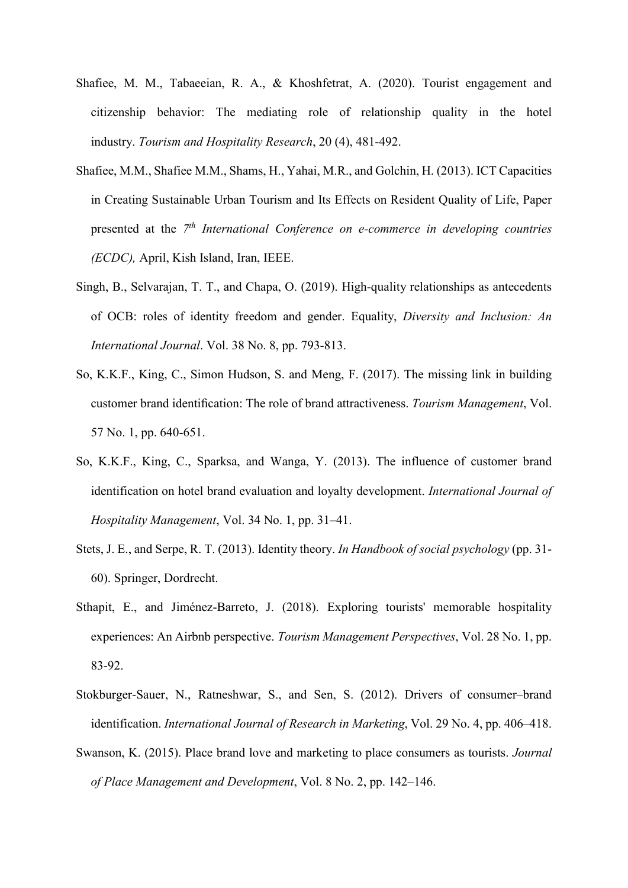- Shafiee, M. M., Tabaeeian, R. A., & Khoshfetrat, A. (2020). Tourist engagement and citizenship behavior: The mediating role of relationship quality in the hotel industry. *Tourism and Hospitality Research*, 20 (4), 481-492.
- Shafiee, M.M., Shafiee M.M., Shams, H., Yahai, M.R., and Golchin, H. (2013). ICT Capacities in Creating Sustainable Urban Tourism and Its Effects on Resident Quality of Life, Paper presented at the *7th International Conference on e-commerce in developing countries (ECDC),* April, Kish Island, Iran, IEEE.
- Singh, B., Selvarajan, T. T., and Chapa, O. (2019). High-quality relationships as antecedents of OCB: roles of identity freedom and gender. Equality, *Diversity and Inclusion: An International Journal*. Vol. 38 No. 8, pp. 793-813.
- So, K.K.F., King, C., Simon Hudson, S. and Meng, F. (2017). The missing link in building customer brand identification: The role of brand attractiveness. *Tourism Management*, Vol. 57 No. 1, pp. 640-651.
- So, K.K.F., King, C., Sparksa, and Wanga, Y. (2013). The influence of customer brand identification on hotel brand evaluation and loyalty development. *International Journal of Hospitality Management*, Vol. 34 No. 1, pp. 31–41.
- Stets, J. E., and Serpe, R. T. (2013). Identity theory. *In Handbook of social psychology* (pp. 31- 60). Springer, Dordrecht.
- Sthapit, E., and Jiménez-Barreto, J. (2018). Exploring tourists' memorable hospitality experiences: An Airbnb perspective. *Tourism Management Perspectives*, Vol. 28 No. 1, pp. 83-92.
- Stokburger-Sauer, N., Ratneshwar, S., and Sen, S. (2012). Drivers of consumer–brand identification. *International Journal of Research in Marketing*, Vol. 29 No. 4, pp. 406–418.
- Swanson, K. (2015). Place brand love and marketing to place consumers as tourists. *Journal of Place Management and Development*, Vol. 8 No. 2, pp. 142–146.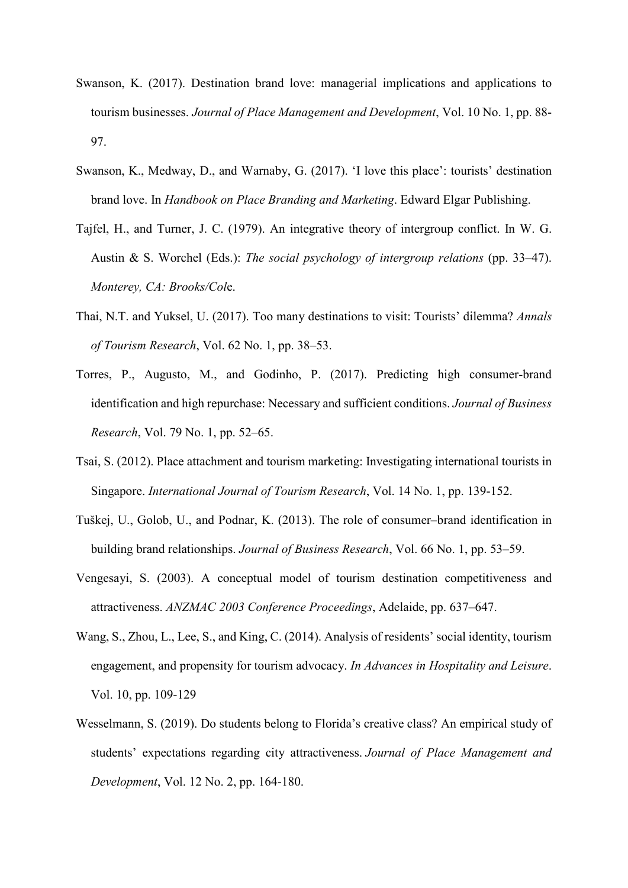- Swanson, K. (2017). Destination brand love: managerial implications and applications to tourism businesses. *Journal of Place Management and Development*, Vol. 10 No. 1, pp. 88- 97.
- Swanson, K., Medway, D., and Warnaby, G. (2017). 'I love this place': tourists' destination brand love. In *Handbook on Place Branding and Marketing*. Edward Elgar Publishing.
- Tajfel, H., and Turner, J. C. (1979). An integrative theory of intergroup conflict. In W. G. Austin & S. Worchel (Eds.): *The social psychology of intergroup relations* (pp. 33–47). *Monterey, CA: Brooks/Col*e.
- Thai, N.T. and Yuksel, U. (2017). Too many destinations to visit: Tourists' dilemma? *Annals of Tourism Research*, Vol. 62 No. 1, pp. 38–53.
- Torres, P., Augusto, M., and Godinho, P. (2017). Predicting high consumer-brand identification and high repurchase: Necessary and sufficient conditions. *Journal of Business Research*, Vol. 79 No. 1, pp. 52–65.
- Tsai, S. (2012). Place attachment and tourism marketing: Investigating international tourists in Singapore. *International Journal of Tourism Research*, Vol. 14 No. 1, pp. 139-152.
- Tuškej, U., Golob, U., and Podnar, K. (2013). The role of consumer–brand identification in building brand relationships. *Journal of Business Research*, Vol. 66 No. 1, pp. 53–59.
- Vengesayi, S. (2003). A conceptual model of tourism destination competitiveness and attractiveness. *ANZMAC 2003 Conference Proceedings*, Adelaide, pp. 637–647.
- Wang, S., Zhou, L., Lee, S., and King, C. (2014). Analysis of residents' social identity, tourism engagement, and propensity for tourism advocacy. *In Advances in Hospitality and Leisure*. Vol. 10, pp. 109-129
- Wesselmann, S. (2019). Do students belong to Florida's creative class? An empirical study of students' expectations regarding city attractiveness. *Journal of Place Management and Development*, Vol. 12 No. 2, pp. 164-180.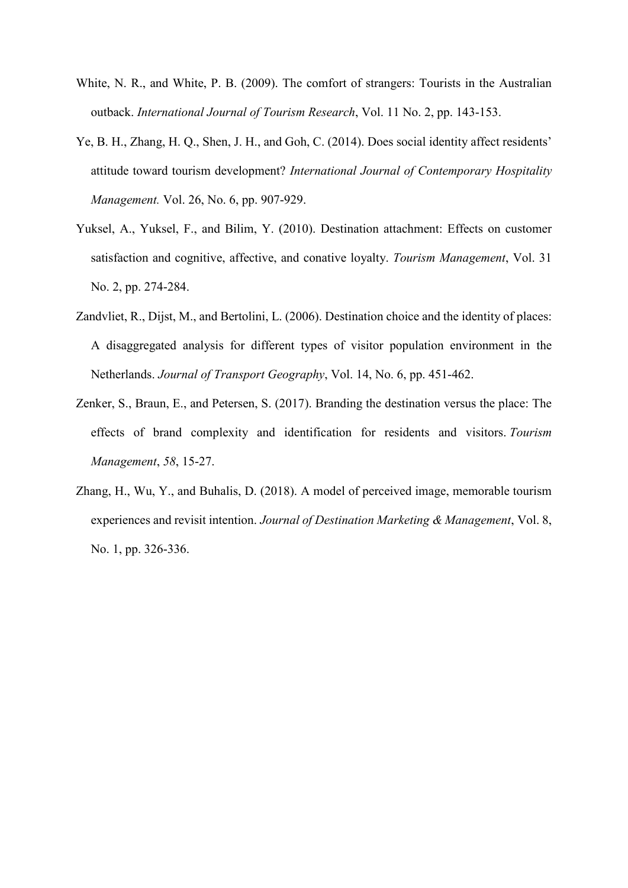- White, N. R., and White, P. B. (2009). The comfort of strangers: Tourists in the Australian outback. *International Journal of Tourism Research*, Vol. 11 No. 2, pp. 143-153.
- Ye, B. H., Zhang, H. Q., Shen, J. H., and Goh, C. (2014). Does social identity affect residents' attitude toward tourism development? *International Journal of Contemporary Hospitality Management.* Vol. 26, No. 6, pp. 907-929.
- Yuksel, A., Yuksel, F., and Bilim, Y. (2010). Destination attachment: Effects on customer satisfaction and cognitive, affective, and conative loyalty. *Tourism Management*, Vol. 31 No. 2, pp. 274-284.
- Zandvliet, R., Dijst, M., and Bertolini, L. (2006). Destination choice and the identity of places: A disaggregated analysis for different types of visitor population environment in the Netherlands. *Journal of Transport Geography*, Vol. 14, No. 6, pp. 451-462.
- Zenker, S., Braun, E., and Petersen, S. (2017). Branding the destination versus the place: The effects of brand complexity and identification for residents and visitors. *Tourism Management*, *58*, 15-27.
- Zhang, H., Wu, Y., and Buhalis, D. (2018). A model of perceived image, memorable tourism experiences and revisit intention. *Journal of Destination Marketing & Management*, Vol. 8, No. 1, pp. 326-336.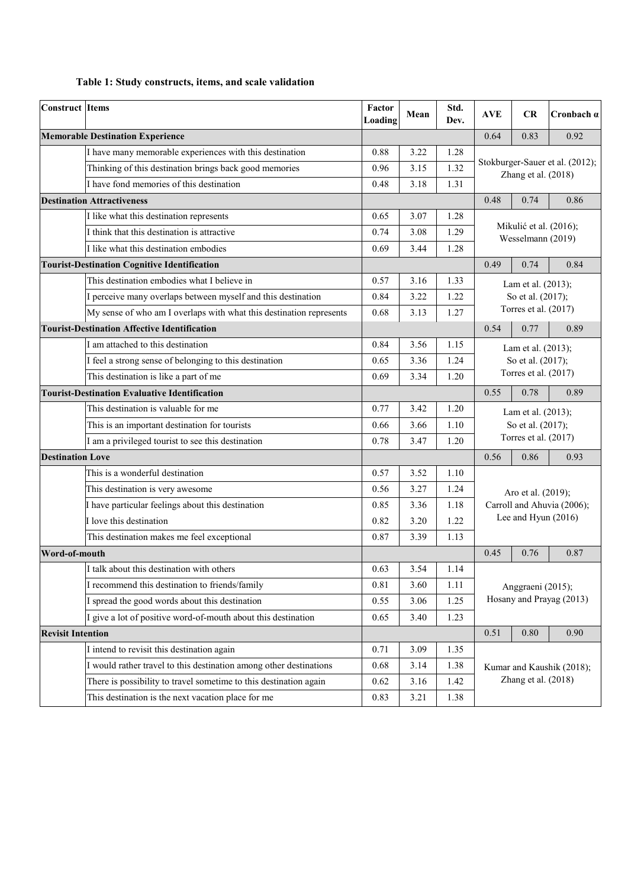## **Table 1: Study constructs, items, and scale validation**

| <b>Construct Items</b>                               |                                                                     | Factor<br>Loading | Mean | Std.<br>Dev. | <b>AVE</b>                                             | CR                         | Cronbach $\alpha$         |  |  |
|------------------------------------------------------|---------------------------------------------------------------------|-------------------|------|--------------|--------------------------------------------------------|----------------------------|---------------------------|--|--|
|                                                      | <b>Memorable Destination Experience</b>                             |                   |      |              | 0.64                                                   | 0.83                       | 0.92                      |  |  |
|                                                      | I have many memorable experiences with this destination             | 0.88              | 3.22 | 1.28         |                                                        |                            |                           |  |  |
|                                                      | Thinking of this destination brings back good memories              | 0.96              | 3.15 | 1.32         | Stokburger-Sauer et al. (2012);<br>Zhang et al. (2018) |                            |                           |  |  |
|                                                      | I have fond memories of this destination                            | 0.48              | 3.18 | 1.31         |                                                        |                            |                           |  |  |
|                                                      | <b>Destination Attractiveness</b>                                   |                   |      |              | 0.48                                                   | 0.74                       | 0.86                      |  |  |
|                                                      | I like what this destination represents                             | 0.65              | 3.07 | 1.28         |                                                        |                            |                           |  |  |
|                                                      | I think that this destination is attractive                         | 0.74              | 3.08 | 1.29         |                                                        | Mikulić et al. (2016);     |                           |  |  |
|                                                      | I like what this destination embodies                               | 0.69              | 3.44 | 1.28         | Wesselmann (2019)                                      |                            |                           |  |  |
|                                                      | <b>Tourist-Destination Cognitive Identification</b>                 |                   |      |              | 0.49                                                   | 0.74                       | 0.84                      |  |  |
|                                                      | This destination embodies what I believe in                         | 0.57              | 3.16 | 1.33         |                                                        | Lam et al. (2013);         |                           |  |  |
|                                                      | I perceive many overlaps between myself and this destination        | 0.84              | 3.22 | 1.22         |                                                        | So et al. (2017);          |                           |  |  |
|                                                      | My sense of who am I overlaps with what this destination represents | 0.68              | 3.13 | 1.27         |                                                        | Torres et al. (2017)       |                           |  |  |
|                                                      | <b>Tourist-Destination Affective Identification</b>                 |                   |      |              | 0.54                                                   | 0.77                       | 0.89                      |  |  |
|                                                      | I am attached to this destination                                   | 0.84              | 3.56 | 1.15         |                                                        | Lam et al. (2013);         |                           |  |  |
|                                                      | I feel a strong sense of belonging to this destination              | 0.65              | 3.36 | 1.24         |                                                        | So et al. (2017);          |                           |  |  |
|                                                      | This destination is like a part of me                               | 0.69              | 3.34 | 1.20         |                                                        | Torres et al. (2017)       |                           |  |  |
| <b>Tourist-Destination Evaluative Identification</b> |                                                                     |                   |      |              | 0.55                                                   | 0.78                       | 0.89                      |  |  |
|                                                      | This destination is valuable for me                                 | 0.77              | 3.42 | 1.20         | Lam et al. (2013);                                     |                            |                           |  |  |
|                                                      | This is an important destination for tourists                       |                   |      | 1.10         | So et al. (2017);                                      |                            |                           |  |  |
|                                                      | I am a privileged tourist to see this destination                   | 0.78              | 3.47 | 1.20         | Torres et al. (2017)                                   |                            |                           |  |  |
| <b>Destination Love</b>                              |                                                                     |                   |      |              | 0.56                                                   | 0.86                       | 0.93                      |  |  |
|                                                      | This is a wonderful destination                                     | 0.57              | 3.52 | 1.10         |                                                        |                            |                           |  |  |
|                                                      | This destination is very awesome                                    | 0.56              | 3.27 | 1.24         |                                                        | Aro et al. (2019);         |                           |  |  |
|                                                      | I have particular feelings about this destination                   | 0.85              | 3.36 | 1.18         |                                                        | Carroll and Ahuvia (2006); |                           |  |  |
|                                                      | I love this destination                                             | 0.82              | 3.20 | 1.22         | Lee and Hyun (2016)                                    |                            |                           |  |  |
|                                                      | This destination makes me feel exceptional                          | 0.87              | 3.39 | 1.13         |                                                        |                            |                           |  |  |
| Word-of-mouth                                        |                                                                     |                   |      |              | 0.45                                                   | 0.76                       | 0.87                      |  |  |
|                                                      | I talk about this destination with others                           | 0.63              | 3.54 | 1.14         |                                                        |                            |                           |  |  |
|                                                      | I recommend this destination to friends/family                      | 0.81              | 3.60 | 1.11         | Anggraeni (2015);<br>Hosany and Prayag (2013)          |                            |                           |  |  |
|                                                      | I spread the good words about this destination                      | 0.55              | 3.06 | 1.25         |                                                        |                            |                           |  |  |
|                                                      | I give a lot of positive word-of-mouth about this destination       | 0.65              | 3.40 | 1.23         |                                                        |                            |                           |  |  |
| <b>Revisit Intention</b>                             |                                                                     |                   |      |              | 0.51                                                   | 0.80                       | 0.90                      |  |  |
|                                                      | I intend to revisit this destination again                          | 0.71              | 3.09 | 1.35         |                                                        |                            |                           |  |  |
|                                                      | I would rather travel to this destination among other destinations  | 0.68              | 3.14 | 1.38         |                                                        |                            | Kumar and Kaushik (2018); |  |  |
|                                                      | There is possibility to travel sometime to this destination again   | 0.62              | 3.16 | 1.42         |                                                        | Zhang et al. (2018)        |                           |  |  |
|                                                      | This destination is the next vacation place for me                  | 0.83              | 3.21 | 1.38         |                                                        |                            |                           |  |  |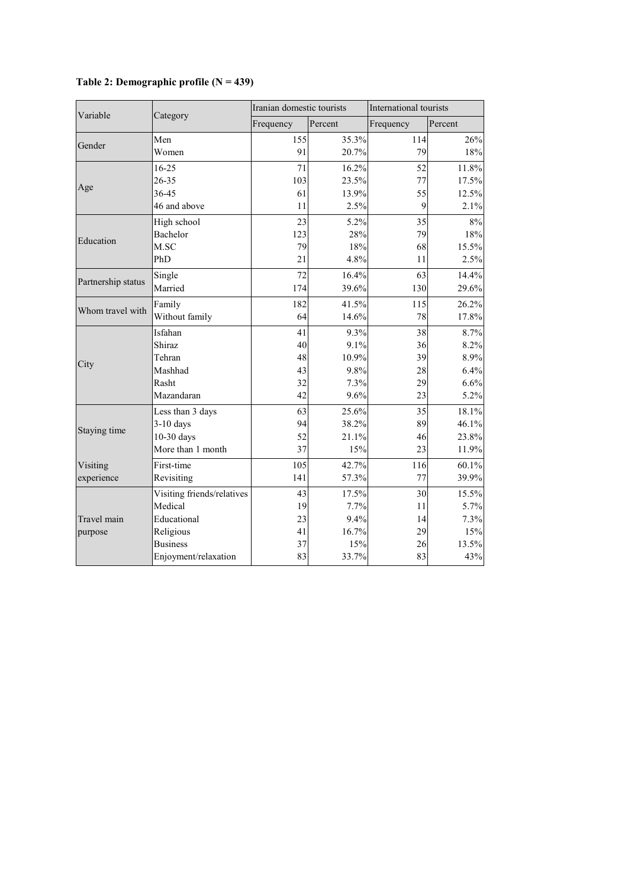| Variable           |                            | Iranian domestic tourists |         | International tourists |         |  |  |
|--------------------|----------------------------|---------------------------|---------|------------------------|---------|--|--|
|                    | Category                   | Frequency                 | Percent | Frequency              | Percent |  |  |
| Gender             | Men                        | 155                       | 35.3%   | 114                    | 26%     |  |  |
|                    | Women                      | 91                        | 20.7%   | 79                     | 18%     |  |  |
|                    | $16 - 25$                  | 71                        | 16.2%   | 52                     | 11.8%   |  |  |
| Age                | 26-35                      | 103                       | 23.5%   | 77                     | 17.5%   |  |  |
|                    | 36-45                      | 61                        | 13.9%   | 55                     | 12.5%   |  |  |
|                    | 46 and above               | 11                        | 2.5%    | 9                      | 2.1%    |  |  |
|                    | High school                | 23                        | 5.2%    | 35                     | 8%      |  |  |
| Education          | Bachelor                   | 123                       | 28%     | 79                     | 18%     |  |  |
|                    | M.SC                       | 79                        | 18%     | 68                     | 15.5%   |  |  |
|                    | PhD                        | 21                        | 4.8%    | 11                     | 2.5%    |  |  |
|                    | Single                     | 72                        | 16.4%   | 63                     | 14.4%   |  |  |
| Partnership status | Married                    | 174                       | 39.6%   | 130                    | 29.6%   |  |  |
|                    | Family                     | 182                       | 41.5%   | 115                    | 26.2%   |  |  |
| Whom travel with   | Without family             | 64                        | 14.6%   | 78                     | 17.8%   |  |  |
|                    | Isfahan                    | 41                        | 9.3%    | 38                     | 8.7%    |  |  |
|                    | Shiraz                     | 40                        | 9.1%    | 36                     | 8.2%    |  |  |
| City               | Tehran                     | 48                        | 10.9%   | 39                     | 8.9%    |  |  |
|                    | Mashhad                    | 43                        | 9.8%    | 28                     | 6.4%    |  |  |
|                    | Rasht                      | 32                        | 7.3%    | 29                     | 6.6%    |  |  |
|                    | Mazandaran                 | 42                        | 9.6%    | 23                     | 5.2%    |  |  |
|                    | Less than 3 days           | 63                        | 25.6%   | 35                     | 18.1%   |  |  |
| Staying time       | $3-10$ days                | 94                        | 38.2%   | 89                     | 46.1%   |  |  |
|                    | 10-30 days                 | 52                        | 21.1%   | 46                     | 23.8%   |  |  |
|                    | More than 1 month          | 37                        | 15%     | 23                     | 11.9%   |  |  |
| Visiting           | First-time                 | 105                       | 42.7%   | 116                    | 60.1%   |  |  |
| experience         | Revisiting                 | 141                       | 57.3%   | 77                     | 39.9%   |  |  |
|                    | Visiting friends/relatives | 43                        | 17.5%   | 30                     | 15.5%   |  |  |
|                    | Medical                    | 19                        | 7.7%    | 11                     | 5.7%    |  |  |
| Travel main        | Educational                | 23                        | 9.4%    | 14                     | 7.3%    |  |  |
| purpose            | Religious                  | 41                        | 16.7%   | 29                     | 15%     |  |  |
|                    | <b>Business</b>            | 37                        | 15%     | 26                     | 13.5%   |  |  |
|                    | Enjoyment/relaxation       | 83                        | 33.7%   | 83                     | 43%     |  |  |

# **Table 2: Demographic profile (N = 439)**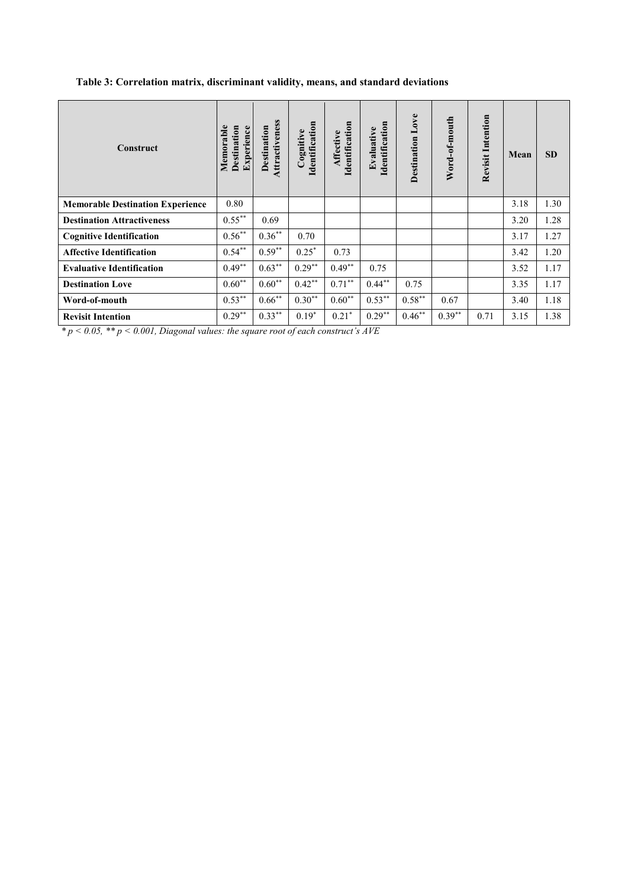## **Table 3: Correlation matrix, discriminant validity, means, and standard deviations**

| <b>Construct</b>                        | Memorable<br>Destination<br>Experience | Attractiveness<br>Destination | Identification<br>Cognitive | Identification<br>Affective | Identification<br>Evaluative | <b>Destination Love</b> | Word-of-mouth | <b>Revisit Intention</b> | Mean | <b>SD</b> |
|-----------------------------------------|----------------------------------------|-------------------------------|-----------------------------|-----------------------------|------------------------------|-------------------------|---------------|--------------------------|------|-----------|
| <b>Memorable Destination Experience</b> | 0.80                                   |                               |                             |                             |                              |                         |               |                          | 3.18 | 1.30      |
| <b>Destination Attractiveness</b>       | $0.55***$                              | 0.69                          |                             |                             |                              |                         |               |                          | 3.20 | 1.28      |
| <b>Cognitive Identification</b>         | $0.56***$                              | $0.36***$                     | 0.70                        |                             |                              |                         |               |                          | 3.17 | 1.27      |
| <b>Affective Identification</b>         | $0.54***$                              | $0.59**$                      | $0.25*$                     | 0.73                        |                              |                         |               |                          | 3.42 | 1.20      |
| <b>Evaluative Identification</b>        | $0.49**$                               | $0.63***$                     | $0.29**$                    | $0.49**$                    | 0.75                         |                         |               |                          | 3.52 | 1.17      |
| <b>Destination Love</b>                 | $0.60**$                               | $0.60**$                      | $0.42**$                    | $0.71***$                   | $0.44**$                     | 0.75                    |               |                          | 3.35 | 1.17      |
| Word-of-mouth                           | $0.53***$                              | $0.66***$                     | $0.30**$                    | $0.60**$                    | $0.53***$                    | $0.58***$               | 0.67          |                          | 3.40 | 1.18      |
| <b>Revisit Intention</b>                | $0.29**$                               | $0.33***$                     | $0.19*$                     | $0.21*$                     | $0.29***$                    | $0.46***$               | $0.39***$     | 0.71                     | 3.15 | 1.38      |

*\* p < 0.05, \*\* p < 0.001, Diagonal values: the square root of each construct's AVE*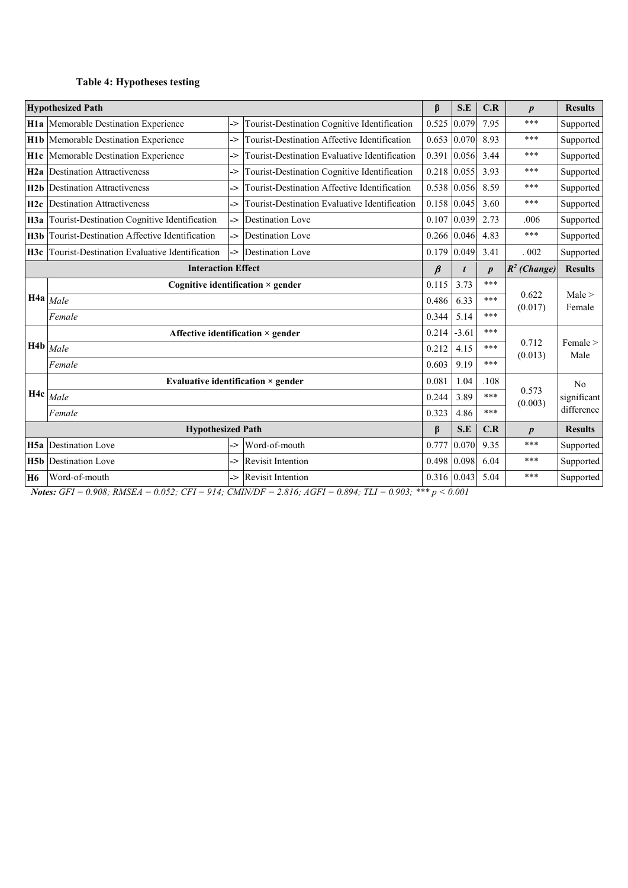# **Table 4: Hypotheses testing**

|                 | <b>Hypothesized Path</b>                                                                   |                               |                                               | β       | S.E     | C.R              | $\boldsymbol{p}$ | <b>Results</b> |
|-----------------|--------------------------------------------------------------------------------------------|-------------------------------|-----------------------------------------------|---------|---------|------------------|------------------|----------------|
|                 | H1a Memorable Destination Experience<br>Tourist-Destination Cognitive Identification<br>-> |                               |                                               |         | 0.079   | 7.95             | ***              | Supported      |
| H1b             | Tourist-Destination Affective Identification<br>Memorable Destination Experience<br>->     |                               | 0.653                                         | 0.070   | 8.93    | ***              | Supported        |                |
| H <sub>1c</sub> | Memorable Destination Experience                                                           | ->                            | Tourist-Destination Evaluative Identification | 0.391   | 0.056   | 3.44             | ***              | Supported      |
| H2a             | <b>Destination Attractiveness</b>                                                          | ->                            | Tourist-Destination Cognitive Identification  | 0.218   | 0.055   | 3.93             | ***              | Supported      |
| H2b             | <b>Destination Attractiveness</b>                                                          | ->                            | Tourist-Destination Affective Identification  | 0.538   | 0.056   | 8.59             | ***              | Supported      |
| H2c             | <b>Destination Attractiveness</b><br>Tourist-Destination Evaluative Identification<br>->   |                               | 0.158                                         | 0.045   | 3.60    | ***              | Supported        |                |
| H3a             | <b>Destination Love</b><br>Tourist-Destination Cognitive Identification<br>->              |                               | 0.107                                         | 0.039   | 2.73    | .006             | Supported        |                |
| H3b             | Tourist-Destination Affective Identification                                               | -><br><b>Destination Love</b> |                                               | 0.266   | 0.046   | 4.83             | ***              | Supported      |
| H3c             | Tourist-Destination Evaluative Identification                                              | ->                            | <b>Destination Love</b>                       | 0.179   | 0.049   | 3.41             | .002             | Supported      |
|                 | <b>Interaction Effect</b>                                                                  |                               |                                               | $\beta$ |         | $\boldsymbol{p}$ | $R^2$ (Change)   | <b>Results</b> |
|                 | Cognitive identification $\times$ gender                                                   |                               |                                               | 0.115   | 3.73    | ***              |                  | Male >         |
|                 | $H4a$ <i>Male</i>                                                                          |                               |                                               |         | 6.33    | ***              | 0.622<br>(0.017) | Female         |
|                 | Female                                                                                     |                               |                                               |         |         |                  |                  |                |
|                 | Affective identification $\times$ gender                                                   |                               |                                               |         | $-3.61$ | ***              | 0.712            | Female >       |
|                 | $H4b$ $_{Male}$                                                                            |                               |                                               |         |         | ***              | (0.013)          | Male           |
|                 | Female                                                                                     |                               | 0.603                                         | 9.19    | ***     |                  |                  |                |
|                 | Evaluative identification $\times$ gender<br>$H4c$ $Male$                                  |                               |                                               |         | 1.04    | .108             | 0.573            | No             |
|                 |                                                                                            |                               |                                               |         | 3.89    | ***              | (0.003)          | significant    |
|                 | Female                                                                                     |                               |                                               |         |         | ***              |                  | difference     |
|                 | <b>Hypothesized Path</b>                                                                   |                               |                                               | $\beta$ | S.E     | C.R              | $\boldsymbol{p}$ | <b>Results</b> |
| H <sub>5a</sub> | <b>Destination Love</b>                                                                    | ->                            | Word-of-mouth                                 | 0.777   | 0.070   | 9.35             | ***              | Supported      |
| H5b             | <b>Destination Love</b>                                                                    | ->                            | <b>Revisit Intention</b>                      | 0.498   | 0.098   | ***<br>6.04      |                  | Supported      |
| <b>H6</b>       | Word-of-mouth<br><b>Revisit Intention</b><br>->                                            |                               |                                               |         | 0.043   | 5.04             | ***              | Supported      |

*Notes: GFI = 0.908; RMSEA = 0.052; CFI = 914; CMIN/DF = 2.816; AGFI = 0.894; TLI = 0.903; \*\*\* p < 0.001*